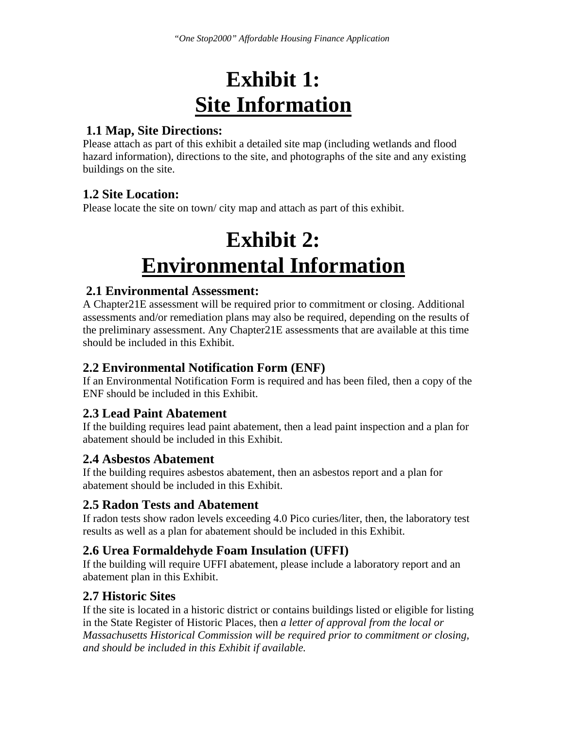## **Exhibit 1: Site Information**

### **1.1 Map, Site Directions:**

Please attach as part of this exhibit a detailed site map (including wetlands and flood hazard information), directions to the site, and photographs of the site and any existing buildings on the site.

### **1.2 Site Location:**

Please locate the site on town/city map and attach as part of this exhibit.

## **Exhibit 2: Environmental Information**

### **2.1 Environmental Assessment:**

A Chapter21E assessment will be required prior to commitment or closing. Additional assessments and/or remediation plans may also be required, depending on the results of the preliminary assessment. Any Chapter21E assessments that are available at this time should be included in this Exhibit.

### **2.2 Environmental Notification Form (ENF)**

If an Environmental Notification Form is required and has been filed, then a copy of the ENF should be included in this Exhibit.

### **2.3 Lead Paint Abatement**

If the building requires lead paint abatement, then a lead paint inspection and a plan for abatement should be included in this Exhibit.

### **2.4 Asbestos Abatement**

If the building requires asbestos abatement, then an asbestos report and a plan for abatement should be included in this Exhibit.

### **2.5 Radon Tests and Abatement**

If radon tests show radon levels exceeding 4.0 Pico curies/liter, then, the laboratory test results as well as a plan for abatement should be included in this Exhibit.

### **2.6 Urea Formaldehyde Foam Insulation (UFFI)**

If the building will require UFFI abatement, please include a laboratory report and an abatement plan in this Exhibit.

### **2.7 Historic Sites**

If the site is located in a historic district or contains buildings listed or eligible for listing in the State Register of Historic Places, then *a letter of approval from the local or Massachusetts Historical Commission will be required prior to commitment or closing, and should be included in this Exhibit if available.*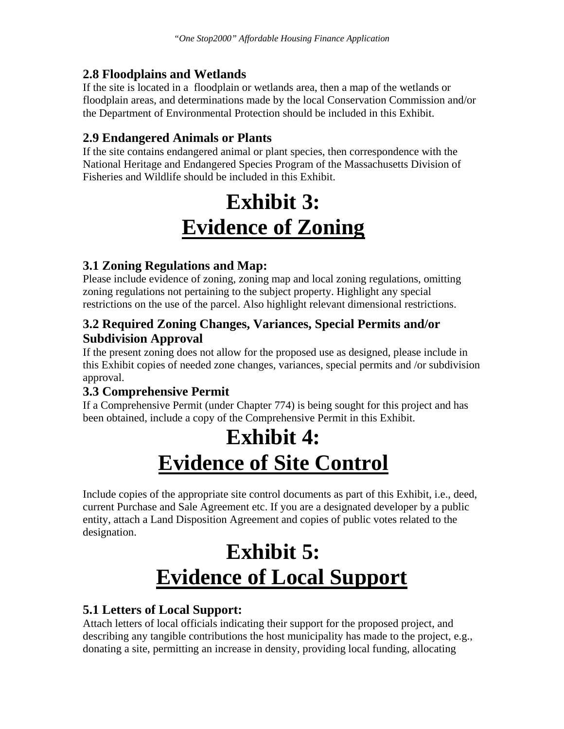### **2.8 Floodplains and Wetlands**

If the site is located in a floodplain or wetlands area, then a map of the wetlands or floodplain areas, and determinations made by the local Conservation Commission and/or the Department of Environmental Protection should be included in this Exhibit.

### **2.9 Endangered Animals or Plants**

If the site contains endangered animal or plant species, then correspondence with the National Heritage and Endangered Species Program of the Massachusetts Division of Fisheries and Wildlife should be included in this Exhibit.

## **Exhibit 3: Evidence of Zoning**

### **3.1 Zoning Regulations and Map:**

Please include evidence of zoning, zoning map and local zoning regulations, omitting zoning regulations not pertaining to the subject property. Highlight any special restrictions on the use of the parcel. Also highlight relevant dimensional restrictions.

### **3.2 Required Zoning Changes, Variances, Special Permits and/or Subdivision Approval**

If the present zoning does not allow for the proposed use as designed, please include in this Exhibit copies of needed zone changes, variances, special permits and /or subdivision approval.

### **3.3 Comprehensive Permit**

If a Comprehensive Permit (under Chapter 774) is being sought for this project and has been obtained, include a copy of the Comprehensive Permit in this Exhibit.

## **Exhibit 4: Evidence of Site Control**

Include copies of the appropriate site control documents as part of this Exhibit, i.e., deed, current Purchase and Sale Agreement etc. If you are a designated developer by a public entity, attach a Land Disposition Agreement and copies of public votes related to the designation.

## **Exhibit 5: Evidence of Local Support**

### **5.1 Letters of Local Support:**

Attach letters of local officials indicating their support for the proposed project, and describing any tangible contributions the host municipality has made to the project, e.g., donating a site, permitting an increase in density, providing local funding, allocating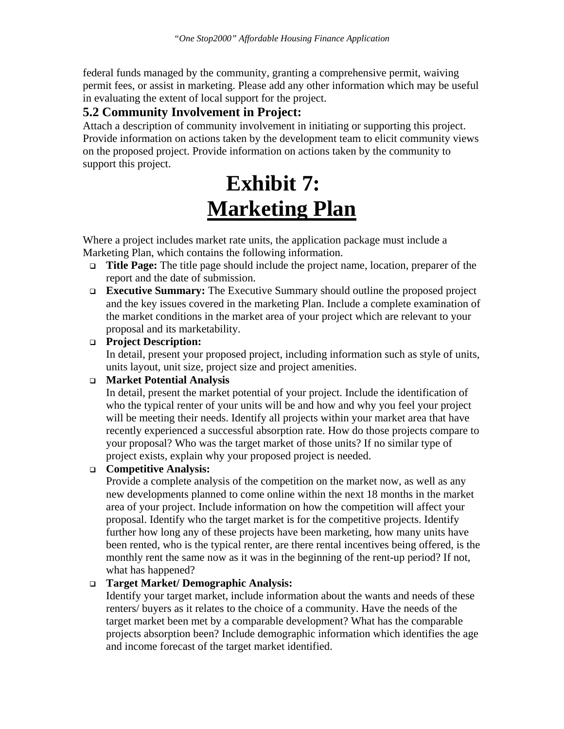federal funds managed by the community, granting a comprehensive permit, waiving permit fees, or assist in marketing. Please add any other information which may be useful in evaluating the extent of local support for the project.

### **5.2 Community Involvement in Project:**

Attach a description of community involvement in initiating or supporting this project. Provide information on actions taken by the development team to elicit community views on the proposed project. Provide information on actions taken by the community to support this project.

## **Exhibit 7: Marketing Plan**

Where a project includes market rate units, the application package must include a Marketing Plan, which contains the following information.

- **Title Page:** The title page should include the project name, location, preparer of the report and the date of submission.
- **Executive Summary:** The Executive Summary should outline the proposed project and the key issues covered in the marketing Plan. Include a complete examination of the market conditions in the market area of your project which are relevant to your proposal and its marketability.

#### **Project Description:**

In detail, present your proposed project, including information such as style of units, units layout, unit size, project size and project amenities.

### **Market Potential Analysis**

In detail, present the market potential of your project. Include the identification of who the typical renter of your units will be and how and why you feel your project will be meeting their needs. Identify all projects within your market area that have recently experienced a successful absorption rate. How do those projects compare to your proposal? Who was the target market of those units? If no similar type of project exists, explain why your proposed project is needed.

### **Competitive Analysis:**

Provide a complete analysis of the competition on the market now, as well as any new developments planned to come online within the next 18 months in the market area of your project. Include information on how the competition will affect your proposal. Identify who the target market is for the competitive projects. Identify further how long any of these projects have been marketing, how many units have been rented, who is the typical renter, are there rental incentives being offered, is the monthly rent the same now as it was in the beginning of the rent-up period? If not, what has happened?

#### **Target Market/ Demographic Analysis:**

Identify your target market, include information about the wants and needs of these renters/ buyers as it relates to the choice of a community. Have the needs of the target market been met by a comparable development? What has the comparable projects absorption been? Include demographic information which identifies the age and income forecast of the target market identified.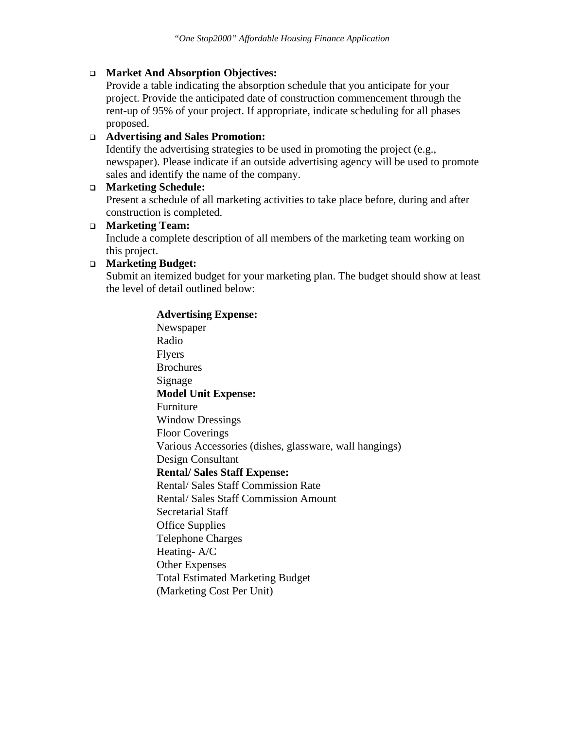#### **Market And Absorption Objectives:**

Provide a table indicating the absorption schedule that you anticipate for your project. Provide the anticipated date of construction commencement through the rent-up of 95% of your project. If appropriate, indicate scheduling for all phases proposed.

#### **Advertising and Sales Promotion:**

Identify the advertising strategies to be used in promoting the project (e.g., newspaper). Please indicate if an outside advertising agency will be used to promote sales and identify the name of the company.

#### **Marketing Schedule:**

Present a schedule of all marketing activities to take place before, during and after construction is completed.

#### **Marketing Team:**

Include a complete description of all members of the marketing team working on this project.

#### **Marketing Budget:**

Submit an itemized budget for your marketing plan. The budget should show at least the level of detail outlined below:

#### **Advertising Expense:**

Newspaper Radio Flyers Brochures Signage **Model Unit Expense:**  Furniture Window Dressings Floor Coverings Various Accessories (dishes, glassware, wall hangings) Design Consultant **Rental/ Sales Staff Expense:**  Rental/ Sales Staff Commission Rate Rental/ Sales Staff Commission Amount Secretarial Staff Office Supplies Telephone Charges Heating- A/C Other Expenses Total Estimated Marketing Budget (Marketing Cost Per Unit)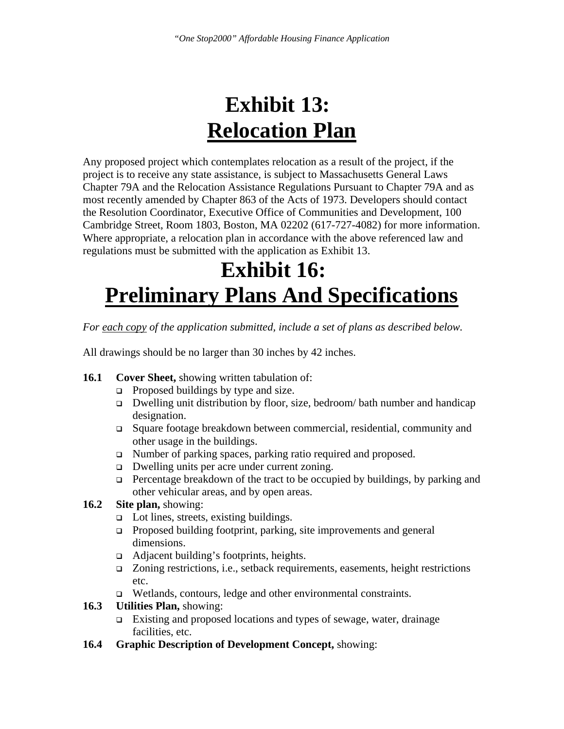## **Exhibit 13: Relocation Plan**

Any proposed project which contemplates relocation as a result of the project, if the project is to receive any state assistance, is subject to Massachusetts General Laws Chapter 79A and the Relocation Assistance Regulations Pursuant to Chapter 79A and as most recently amended by Chapter 863 of the Acts of 1973. Developers should contact the Resolution Coordinator, Executive Office of Communities and Development, 100 Cambridge Street, Room 1803, Boston, MA 02202 (617-727-4082) for more information. Where appropriate, a relocation plan in accordance with the above referenced law and regulations must be submitted with the application as Exhibit 13.

## **Exhibit 16: Preliminary Plans And Specifications**

*For each copy of the application submitted, include a set of plans as described below.* 

All drawings should be no larger than 30 inches by 42 inches.

- **16.1 Cover Sheet,** showing written tabulation of:
	- $\Box$  Proposed buildings by type and size.
	- $\Box$  Dwelling unit distribution by floor, size, bedroom/ bath number and handicap designation.
	- Square footage breakdown between commercial, residential, community and other usage in the buildings.
	- □ Number of parking spaces, parking ratio required and proposed.
	- Dwelling units per acre under current zoning.
	- $\Box$  Percentage breakdown of the tract to be occupied by buildings, by parking and other vehicular areas, and by open areas.
- **16.2 Site plan,** showing:
	- $\Box$  Lot lines, streets, existing buildings.
	- Proposed building footprint, parking, site improvements and general dimensions.
	- $\Box$  Adjacent building's footprints, heights.
	- Zoning restrictions, i.e., setback requirements, easements, height restrictions etc.
	- Wetlands, contours, ledge and other environmental constraints.

#### **16.3 Utilities Plan,** showing:

- Existing and proposed locations and types of sewage, water, drainage facilities, etc.
- **16.4 Graphic Description of Development Concept,** showing: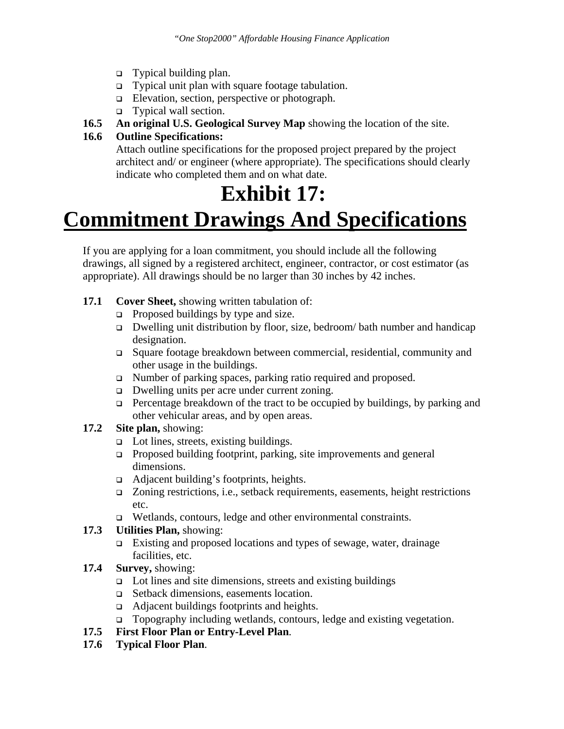- Typical building plan.
- □ Typical unit plan with square footage tabulation.
- Elevation, section, perspective or photograph.
- Typical wall section.
- **16.5 An original U.S. Geological Survey Map** showing the location of the site.

### **16.6 Outline Specifications:**

Attach outline specifications for the proposed project prepared by the project architect and/ or engineer (where appropriate). The specifications should clearly indicate who completed them and on what date.

## **Exhibit 17:**

## **Commitment Drawings And Specifications**

If you are applying for a loan commitment, you should include all the following drawings, all signed by a registered architect, engineer, contractor, or cost estimator (as appropriate). All drawings should be no larger than 30 inches by 42 inches.

- **17.1 Cover Sheet,** showing written tabulation of:
	- $\Box$  Proposed buildings by type and size.
	- Dwelling unit distribution by floor, size, bedroom/ bath number and handicap designation.
	- Square footage breakdown between commercial, residential, community and other usage in the buildings.
	- □ Number of parking spaces, parking ratio required and proposed.
	- Dwelling units per acre under current zoning.
	- $\Box$  Percentage breakdown of the tract to be occupied by buildings, by parking and other vehicular areas, and by open areas.
- **17.2 Site plan,** showing:
	- □ Lot lines, streets, existing buildings.
	- □ Proposed building footprint, parking, site improvements and general dimensions.
	- □ Adjacent building's footprints, heights.
	- $\Box$  Zoning restrictions, i.e., setback requirements, easements, height restrictions etc.
	- Wetlands, contours, ledge and other environmental constraints.

#### **17.3 Utilities Plan,** showing:

- Existing and proposed locations and types of sewage, water, drainage facilities, etc.
- **17.4 Survey,** showing:
	- Lot lines and site dimensions, streets and existing buildings
	- Setback dimensions, easements location.
	- □ Adjacent buildings footprints and heights.
	- Topography including wetlands, contours, ledge and existing vegetation.

### **17.5 First Floor Plan or Entry-Level Plan**.

**17.6 Typical Floor Plan**.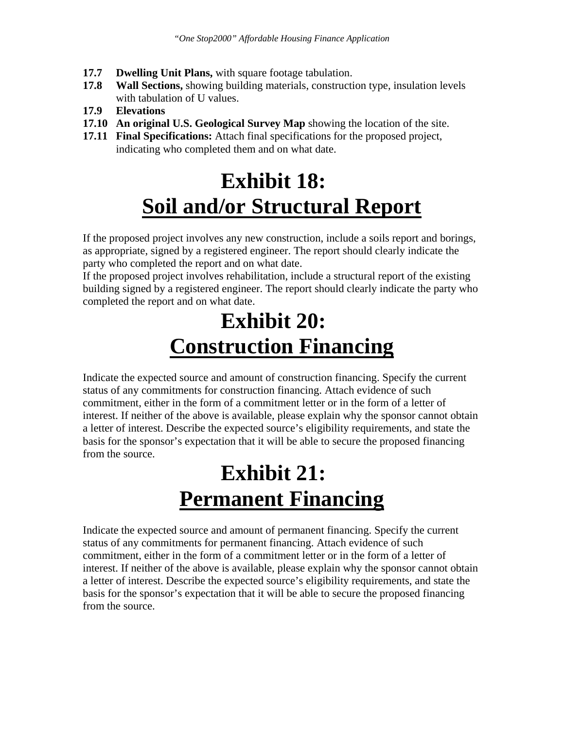- **17.7 Dwelling Unit Plans,** with square footage tabulation.
- **17.8 Wall Sections,** showing building materials, construction type, insulation levels with tabulation of U values.
- **17.9 Elevations**
- **17.10 An original U.S. Geological Survey Map** showing the location of the site.
- **17.11 Final Specifications:** Attach final specifications for the proposed project, indicating who completed them and on what date.

## **Exhibit 18: Soil and/or Structural Report**

If the proposed project involves any new construction, include a soils report and borings, as appropriate, signed by a registered engineer. The report should clearly indicate the party who completed the report and on what date.

If the proposed project involves rehabilitation, include a structural report of the existing building signed by a registered engineer. The report should clearly indicate the party who completed the report and on what date.

## **Exhibit 20: Construction Financing**

Indicate the expected source and amount of construction financing. Specify the current status of any commitments for construction financing. Attach evidence of such commitment, either in the form of a commitment letter or in the form of a letter of interest. If neither of the above is available, please explain why the sponsor cannot obtain a letter of interest. Describe the expected source's eligibility requirements, and state the basis for the sponsor's expectation that it will be able to secure the proposed financing from the source.

## **Exhibit 21: Permanent Financing**

Indicate the expected source and amount of permanent financing. Specify the current status of any commitments for permanent financing. Attach evidence of such commitment, either in the form of a commitment letter or in the form of a letter of interest. If neither of the above is available, please explain why the sponsor cannot obtain a letter of interest. Describe the expected source's eligibility requirements, and state the basis for the sponsor's expectation that it will be able to secure the proposed financing from the source.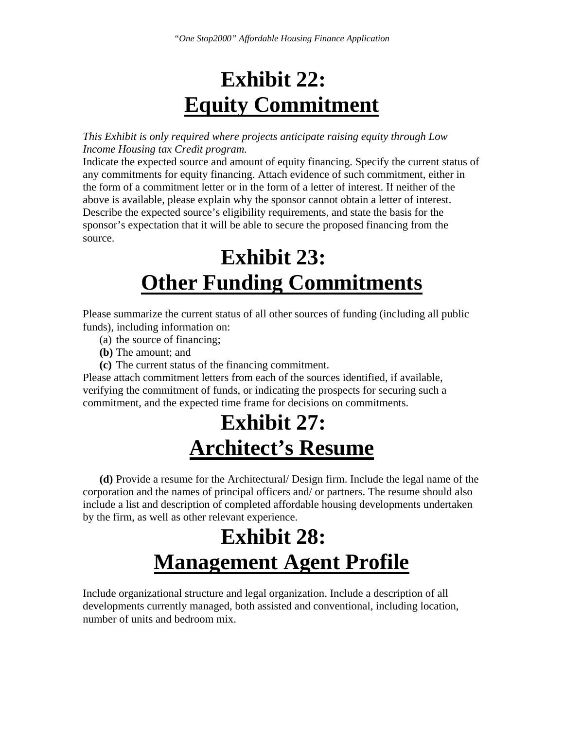## **Exhibit 22: Equity Commitment**

*This Exhibit is only required where projects anticipate raising equity through Low Income Housing tax Credit program.* 

Indicate the expected source and amount of equity financing. Specify the current status of any commitments for equity financing. Attach evidence of such commitment, either in the form of a commitment letter or in the form of a letter of interest. If neither of the above is available, please explain why the sponsor cannot obtain a letter of interest. Describe the expected source's eligibility requirements, and state the basis for the sponsor's expectation that it will be able to secure the proposed financing from the source.

## **Exhibit 23: Other Funding Commitments**

Please summarize the current status of all other sources of funding (including all public funds), including information on:

- (a) the source of financing;
- **(b)** The amount; and
- **(c)** The current status of the financing commitment.

Please attach commitment letters from each of the sources identified, if available, verifying the commitment of funds, or indicating the prospects for securing such a commitment, and the expected time frame for decisions on commitments.

## **Exhibit 27: Architect's Resume**

**(d)** Provide a resume for the Architectural/ Design firm. Include the legal name of the corporation and the names of principal officers and/ or partners. The resume should also include a list and description of completed affordable housing developments undertaken by the firm, as well as other relevant experience.

## **Exhibit 28: Management Agent Profile**

Include organizational structure and legal organization. Include a description of all developments currently managed, both assisted and conventional, including location, number of units and bedroom mix.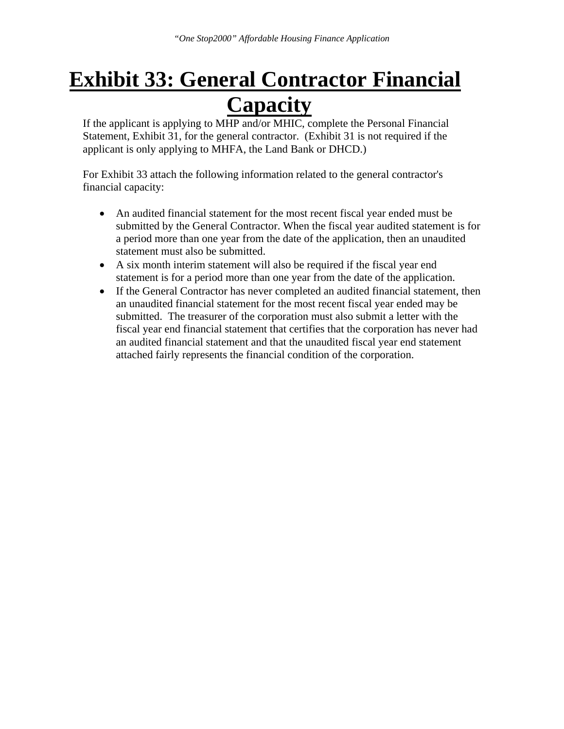## **Exhibit 33: General Contractor Financial Capacity**

If the applicant is applying to MHP and/or MHIC, complete the Personal Financial Statement, Exhibit 31, for the general contractor. (Exhibit 31 is not required if the applicant is only applying to MHFA, the Land Bank or DHCD.)

For Exhibit 33 attach the following information related to the general contractor's financial capacity:

- An audited financial statement for the most recent fiscal year ended must be submitted by the General Contractor. When the fiscal year audited statement is for a period more than one year from the date of the application, then an unaudited statement must also be submitted.
- A six month interim statement will also be required if the fiscal year end statement is for a period more than one year from the date of the application.
- If the General Contractor has never completed an audited financial statement, then an unaudited financial statement for the most recent fiscal year ended may be submitted. The treasurer of the corporation must also submit a letter with the fiscal year end financial statement that certifies that the corporation has never had an audited financial statement and that the unaudited fiscal year end statement attached fairly represents the financial condition of the corporation.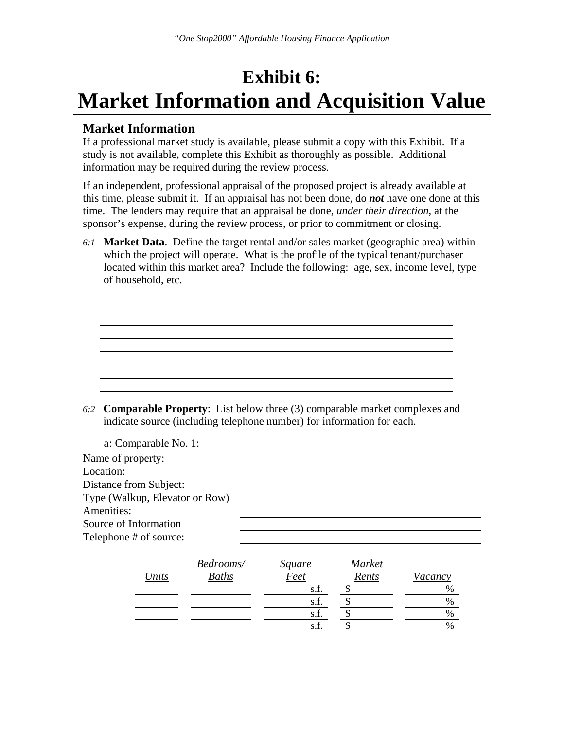### **Exhibit 6: Market Information and Acquisition Value**

### **Market Information**

If a professional market study is available, please submit a copy with this Exhibit. If a study is not available, complete this Exhibit as thoroughly as possible. Additional information may be required during the review process.

If an independent, professional appraisal of the proposed project is already available at this time, please submit it. If an appraisal has not been done, do *not* have one done at this time. The lenders may require that an appraisal be done, *under their direction*, at the sponsor's expense, during the review process, or prior to commitment or closing.

*6:1* **Market Data**. Define the target rental and/or sales market (geographic area) within which the project will operate. What is the profile of the typical tenant/purchaser located within this market area? Include the following: age, sex, income level, type of household, etc.

*6:2* **Comparable Property**: List below three (3) comparable market complexes and indicate source (including telephone number) for information for each.

|                                | a: Comparable No. 1: |              |        |               |         |
|--------------------------------|----------------------|--------------|--------|---------------|---------|
| Name of property:              |                      |              |        |               |         |
| Location:                      |                      |              |        |               |         |
| Distance from Subject:         |                      |              |        |               |         |
| Type (Walkup, Elevator or Row) |                      |              |        |               |         |
| Amenities:                     |                      |              |        |               |         |
| Source of Information          |                      |              |        |               |         |
| Telephone # of source:         |                      |              |        |               |         |
|                                |                      | Bedrooms/    | Square | <b>Market</b> |         |
|                                | Units                | <b>Baths</b> | Feet   | Rents         | Vacancy |
|                                |                      |              | s.f.   |               | %       |
|                                |                      |              | s.f.   | \$            | $\%$    |
|                                |                      |              | s.f.   | \$            | %       |
|                                |                      |              | s.f.   | \$            | $\%$    |
|                                |                      |              |        |               |         |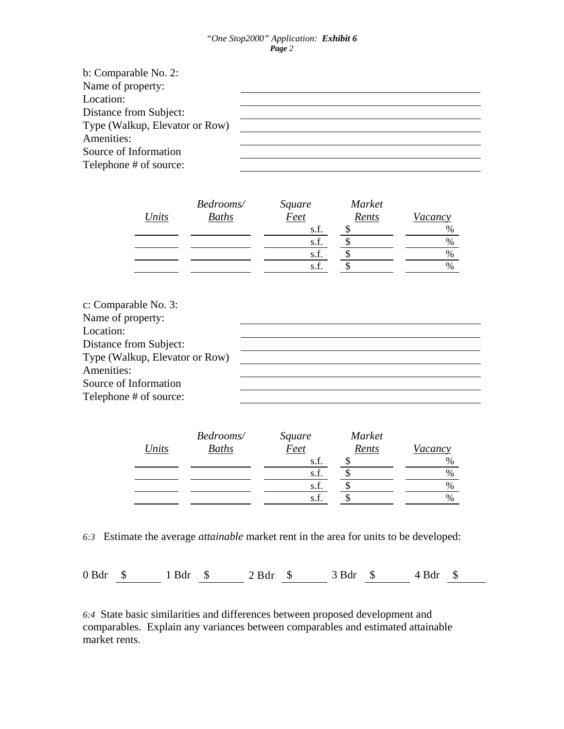#### *"One Stop2000" Application: Exhibit 6 Page 2*

| b: Comparable No. 2:           |  |
|--------------------------------|--|
| Name of property:              |  |
| Location:                      |  |
| Distance from Subject:         |  |
| Type (Walkup, Elevator or Row) |  |
| Amenities:                     |  |
| Source of Information          |  |
| Telephone # of source:         |  |

|       | Bedrooms/    | Square | Market |               |
|-------|--------------|--------|--------|---------------|
| Units | <b>Baths</b> | Feet   | Rents  | Vacancy       |
|       |              | s.f.   |        | $\%$          |
|       |              | s.f.   |        | $\%$          |
|       |              | s.f.   |        | $\%$          |
|       |              | s.f.   |        | $\frac{0}{0}$ |

| c: Comparable No. 3:           |  |
|--------------------------------|--|
| Name of property:              |  |
| Location:                      |  |
| Distance from Subject:         |  |
| Type (Walkup, Elevator or Row) |  |
| Amenities:                     |  |
| Source of Information          |  |
| Telephone # of source:         |  |

|       | Bedrooms/ | Square | Market |               |
|-------|-----------|--------|--------|---------------|
| Units | Baths     | Feet   | Rents  | Vacancy       |
|       |           | s.f.   |        | $\frac{0}{0}$ |
|       |           | s.f.   |        | $\frac{0}{0}$ |
|       |           | s.f.   |        | $\%$          |
|       |           | s.f.   |        | $\frac{0}{0}$ |
|       |           |        |        |               |

*6:3* Estimate the average *attainable* market rent in the area for units to be developed:

0 Bdr \$ 1 Bdr \$ 2 Bdr \$ 3 Bdr \$ 4 Bdr \$

*6:4* State basic similarities and differences between proposed development and comparables. Explain any variances between comparables and estimated attainable market rents.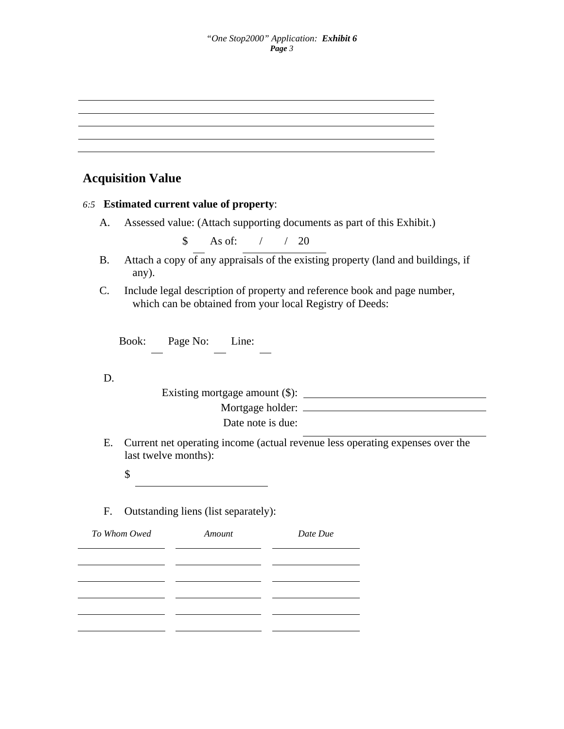### **Acquisition Value**

#### *6:5* **Estimated current value of property**:

A. Assessed value: (Attach supporting documents as part of this Exhibit.)

\$ As of: / / 20

- B. Attach a copy of any appraisals of the existing property (land and buildings, if any).
- C. Include legal description of property and reference book and page number, which can be obtained from your local Registry of Deeds:

Book: Page No: Line:

D.

| Existing mortgage amount $(\$)$ : |  |
|-----------------------------------|--|
| Mortgage holder:                  |  |
| Date note is due:                 |  |

 E. Current net operating income (actual revenue less operating expenses over the last twelve months):

\$

F. Outstanding liens (list separately):

| To Whom Owed | Amount | Date Due |
|--------------|--------|----------|
|              |        |          |
|              |        |          |
|              |        |          |
|              |        |          |
|              |        |          |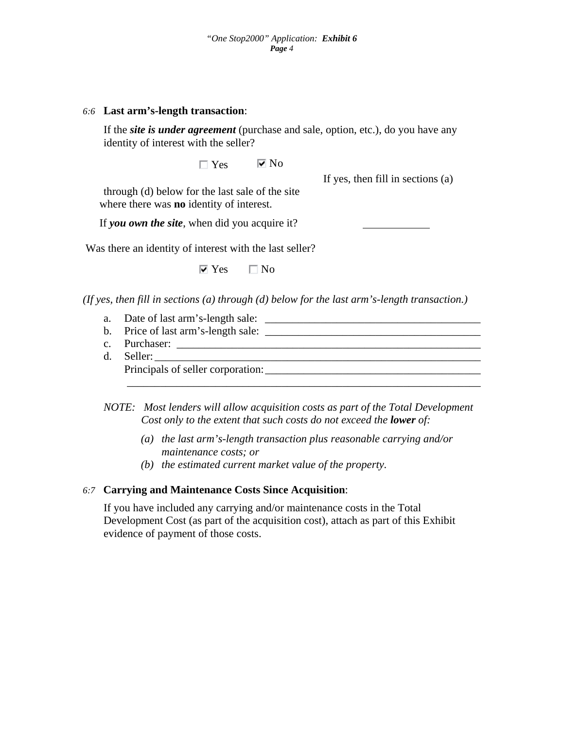#### *6:6* **Last arm's-length transaction**:

 If the *site is under agreement* (purchase and sale, option, etc.), do you have any identity of interest with the seller?

 $\Box$  Yes  $\Box$  No

If yes, then fill in sections (a)

through (d) below for the last sale of the site where there was **no** identity of interest.

If *you own the site*, when did you acquire it?

Was there an identity of interest with the last seller?

 $\overline{\triangledown}$  Yes  $\Box$  No

*(If yes, then fill in sections (a) through (d) below for the last arm's-length transaction.)* 

- a. Date of last arm's-length sale: \_\_\_\_\_\_\_\_\_\_\_\_\_\_\_\_\_\_\_\_\_\_\_\_\_\_\_\_\_\_\_\_\_\_\_\_\_\_\_
- b. Price of last arm's-length sale:  $\frac{1}{\sqrt{1-\frac{1}{n}}\sqrt{1-\frac{1}{n}}}$
- c. Purchaser: \_\_\_\_\_\_\_\_\_\_\_\_\_\_\_\_\_\_\_\_\_\_\_\_\_\_\_\_\_\_\_\_\_\_\_\_\_\_\_\_\_\_\_\_\_\_\_\_\_\_\_\_\_\_\_
- d. Seller: \_\_\_\_\_\_\_\_\_\_\_\_\_\_\_\_\_\_\_\_\_\_\_\_\_\_\_\_\_\_\_\_\_\_\_\_\_\_\_\_\_\_\_\_\_\_\_\_\_\_\_\_\_\_\_\_\_\_\_

Principals of seller corporation:\_\_\_\_\_\_\_\_\_\_\_\_\_\_\_\_\_\_\_\_\_\_\_\_\_\_\_\_\_\_\_\_\_\_\_\_\_\_\_

*NOTE: Most lenders will allow acquisition costs as part of the Total Development Cost only to the extent that such costs do not exceed the lower of:* 

\_\_\_\_\_\_\_\_\_\_\_\_\_\_\_\_\_\_\_\_\_\_\_\_\_\_\_\_\_\_\_\_\_\_\_\_\_\_\_\_\_\_\_\_\_\_\_\_\_\_\_\_\_\_\_\_\_\_\_\_\_\_\_\_

- *(a) the last arm's-length transaction plus reasonable carrying and/or maintenance costs; or*
- *(b) the estimated current market value of the property.*

#### *6:7* **Carrying and Maintenance Costs Since Acquisition**:

 If you have included any carrying and/or maintenance costs in the Total Development Cost (as part of the acquisition cost), attach as part of this Exhibit evidence of payment of those costs.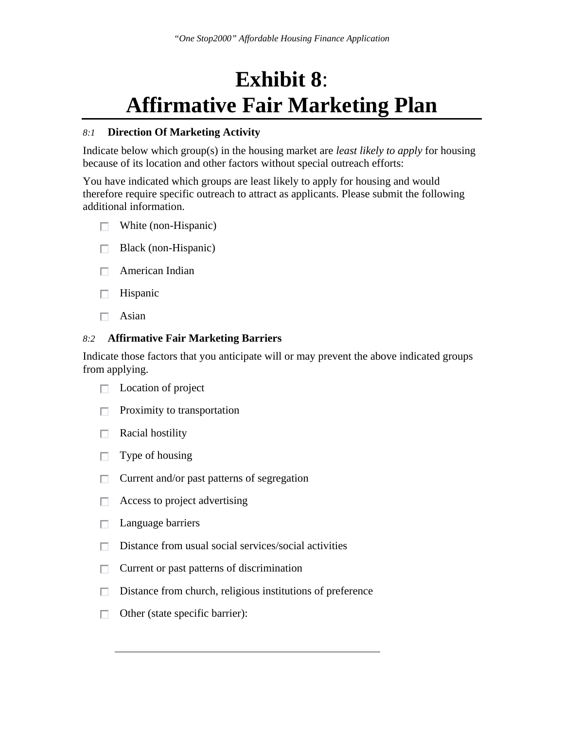## **Exhibit 8**: **Affirmative Fair Marketing Plan**

#### *8:1* **Direction Of Marketing Activity**

Indicate below which group(s) in the housing market are *least likely to apply* for housing because of its location and other factors without special outreach efforts:

You have indicated which groups are least likely to apply for housing and would therefore require specific outreach to attract as applicants. Please submit the following additional information.

- $\Box$  White (non-Hispanic)
- П. Black (non-Hispanic)
- $\Box$  American Indian
- Hispanic П.
- Asian П.

#### *8:2* **Affirmative Fair Marketing Barriers**

Indicate those factors that you anticipate will or may prevent the above indicated groups from applying.

- $\Box$  Location of project
- $\Box$  Proximity to transportation
- Racial hostility П.
- Type of housing П.
- Current and/or past patterns of segregation П.
- Access to project advertising П.
- $\Box$  Language barriers
- $\Box$  Distance from usual social services/social activities
- П. Current or past patterns of discrimination
- П. Distance from church, religious institutions of preference
- $\Box$  Other (state specific barrier):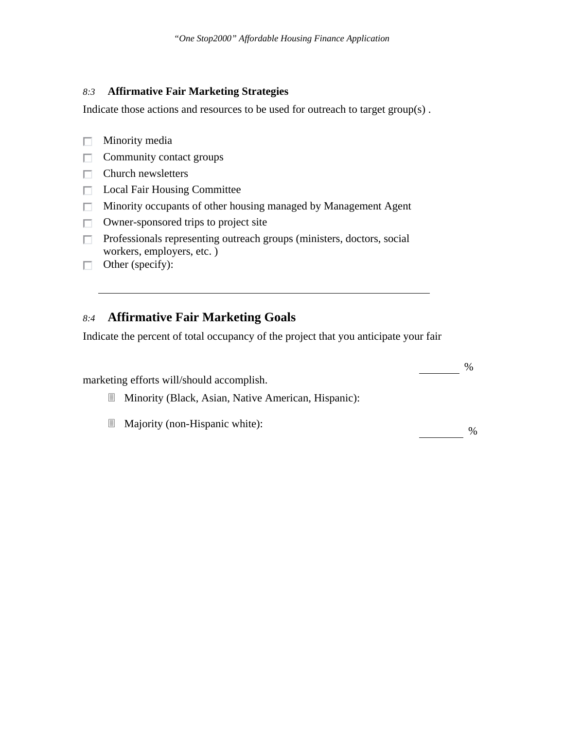#### *8:3* **Affirmative Fair Marketing Strategies**

Indicate those actions and resources to be used for outreach to target group(s) .

- $\Box$  Minority media
- $\Box$  Community contact groups
- $\Box$  Church newsletters
- □ Local Fair Housing Committee
- $\Box$  Minority occupants of other housing managed by Management Agent
- $\Box$  Owner-sponsored trips to project site
- $\Box$  Professionals representing outreach groups (ministers, doctors, social workers, employers, etc. )
- $\Box$  Other (specify):

### *8:4* **Affirmative Fair Marketing Goals**

Indicate the percent of total occupancy of the project that you anticipate your fair

|   | marketing efforts will/should accomplish.           | $\%$ |
|---|-----------------------------------------------------|------|
| Ħ | Minority (Black, Asian, Native American, Hispanic): |      |
| Ħ | Majority (non-Hispanic white):                      | $\%$ |
|   |                                                     |      |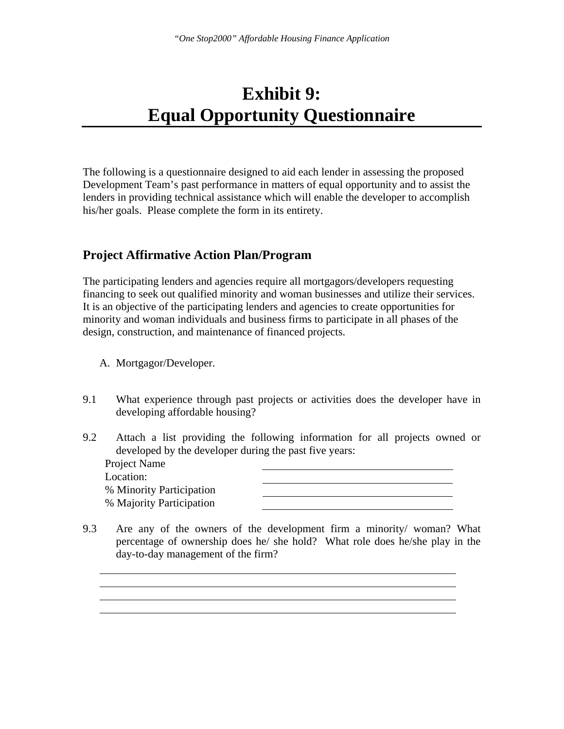### **Exhibit 9: Equal Opportunity Questionnaire**

The following is a questionnaire designed to aid each lender in assessing the proposed Development Team's past performance in matters of equal opportunity and to assist the lenders in providing technical assistance which will enable the developer to accomplish his/her goals. Please complete the form in its entirety.

### **Project Affirmative Action Plan/Program**

The participating lenders and agencies require all mortgagors/developers requesting financing to seek out qualified minority and woman businesses and utilize their services. It is an objective of the participating lenders and agencies to create opportunities for minority and woman individuals and business firms to participate in all phases of the design, construction, and maintenance of financed projects.

- A. Mortgagor/Developer.
- 9.1 What experience through past projects or activities does the developer have in developing affordable housing?
- 9.2 Attach a list providing the following information for all projects owned or developed by the developer during the past five years:
	- Project Name Location: % Minority Participation % Majority Participation



9.3 Are any of the owners of the development firm a minority/ woman? What percentage of ownership does he/ she hold? What role does he/she play in the day-to-day management of the firm?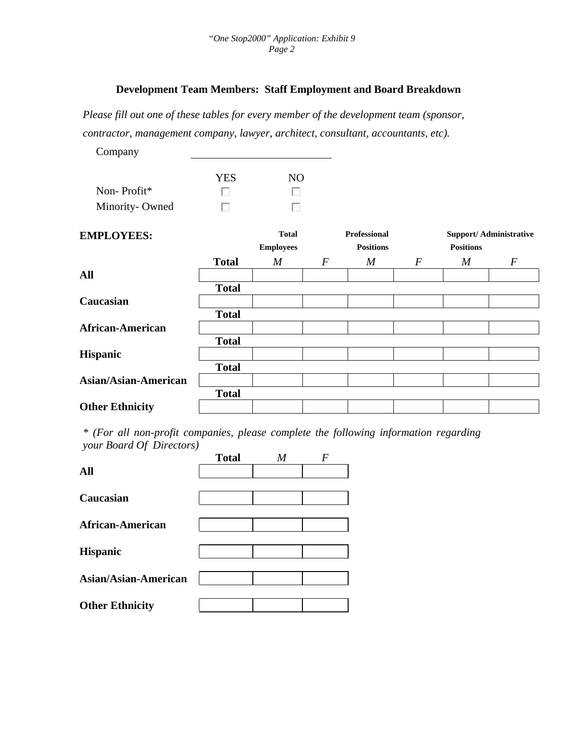### **Development Team Members: Staff Employment and Board Breakdown**

*Please fill out one of these tables for every member of the development team (sponsor, contractor, management company, lawyer, architect, consultant, accountants, etc).* 

| Company                     |              |                                  |                  |                                         |                  |                  |                               |
|-----------------------------|--------------|----------------------------------|------------------|-----------------------------------------|------------------|------------------|-------------------------------|
|                             | <b>YES</b>   | NO                               |                  |                                         |                  |                  |                               |
| Non-Profit*                 |              |                                  |                  |                                         |                  |                  |                               |
| Minority-Owned              | п            |                                  |                  |                                         |                  |                  |                               |
| <b>EMPLOYEES:</b>           |              | <b>Total</b><br><b>Employees</b> |                  | <b>Professional</b><br><b>Positions</b> |                  | <b>Positions</b> | <b>Support/Administrative</b> |
|                             | <b>Total</b> | $\boldsymbol{M}$                 | $\boldsymbol{F}$ | $\boldsymbol{M}$                        | $\boldsymbol{F}$ | M                | $\boldsymbol{F}$              |
| <b>All</b>                  |              |                                  |                  |                                         |                  |                  |                               |
|                             | <b>Total</b> |                                  |                  |                                         |                  |                  |                               |
| Caucasian                   |              |                                  |                  |                                         |                  |                  |                               |
|                             | <b>Total</b> |                                  |                  |                                         |                  |                  |                               |
| <b>African-American</b>     |              |                                  |                  |                                         |                  |                  |                               |
|                             | <b>Total</b> |                                  |                  |                                         |                  |                  |                               |
| <b>Hispanic</b>             |              |                                  |                  |                                         |                  |                  |                               |
|                             | <b>Total</b> |                                  |                  |                                         |                  |                  |                               |
| <b>Asian/Asian-American</b> |              |                                  |                  |                                         |                  |                  |                               |
|                             | <b>Total</b> |                                  |                  |                                         |                  |                  |                               |
| <b>Other Ethnicity</b>      |              |                                  |                  |                                         |                  |                  |                               |

*\* (For all non-profit companies, please complete the following information regarding your Board Of Directors)* 

|                         | <b>Total</b> | M | F |
|-------------------------|--------------|---|---|
| All                     |              |   |   |
| Caucasian               |              |   |   |
| <b>African-American</b> |              |   |   |
| <b>Hispanic</b>         |              |   |   |
| Asian/Asian-American    |              |   |   |
| <b>Other Ethnicity</b>  |              |   |   |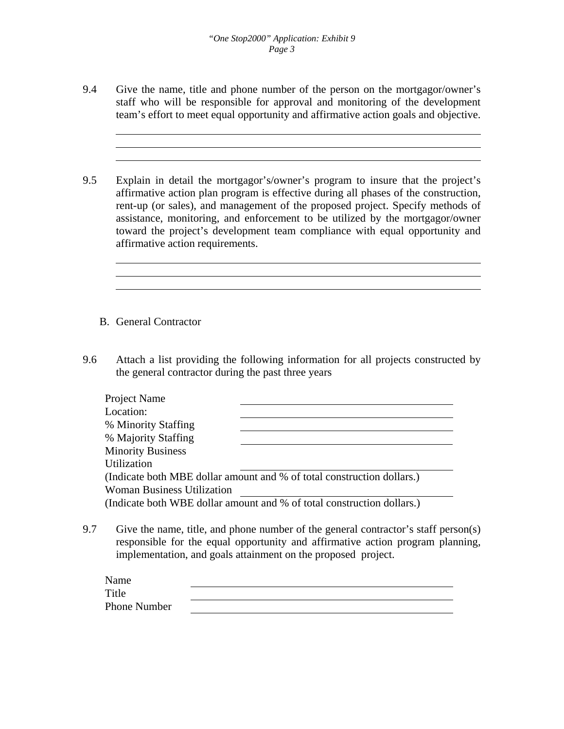9.4 Give the name, title and phone number of the person on the mortgagor/owner's staff who will be responsible for approval and monitoring of the development team's effort to meet equal opportunity and affirmative action goals and objective.

9.5 Explain in detail the mortgagor's/owner's program to insure that the project's affirmative action plan program is effective during all phases of the construction, rent-up (or sales), and management of the proposed project. Specify methods of assistance, monitoring, and enforcement to be utilized by the mortgagor/owner toward the project's development team compliance with equal opportunity and affirmative action requirements.

- B. General Contractor
- 9.6 Attach a list providing the following information for all projects constructed by the general contractor during the past three years

| Project Name                      |                                                                        |
|-----------------------------------|------------------------------------------------------------------------|
| Location:                         |                                                                        |
| % Minority Staffing               |                                                                        |
| % Majority Staffing               |                                                                        |
| <b>Minority Business</b>          |                                                                        |
| Utilization                       |                                                                        |
|                                   | (Indicate both MBE dollar amount and % of total construction dollars.) |
| <b>Woman Business Utilization</b> |                                                                        |
|                                   | (Indicate both WBE dollar amount and % of total construction dollars.) |

9.7 Give the name, title, and phone number of the general contractor's staff person(s) responsible for the equal opportunity and affirmative action program planning, implementation, and goals attainment on the proposed project.

| Name         |  |
|--------------|--|
| Title        |  |
| Phone Number |  |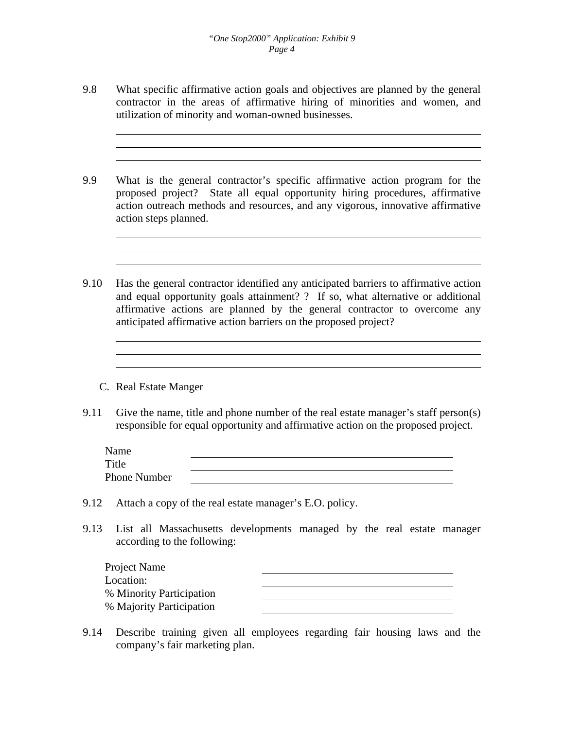- 9.8 What specific affirmative action goals and objectives are planned by the general contractor in the areas of affirmative hiring of minorities and women, and utilization of minority and woman-owned businesses.
- 9.9 What is the general contractor's specific affirmative action program for the proposed project? State all equal opportunity hiring procedures, affirmative action outreach methods and resources, and any vigorous, innovative affirmative action steps planned.
- 9.10 Has the general contractor identified any anticipated barriers to affirmative action and equal opportunity goals attainment? ? If so, what alternative or additional affirmative actions are planned by the general contractor to overcome any anticipated affirmative action barriers on the proposed project?
	- C. Real Estate Manger
- 9.11 Give the name, title and phone number of the real estate manager's staff person(s) responsible for equal opportunity and affirmative action on the proposed project.

| Name                |  |
|---------------------|--|
| Title               |  |
| <b>Phone Number</b> |  |

- 9.12 Attach a copy of the real estate manager's E.O. policy.
- 9.13 List all Massachusetts developments managed by the real estate manager according to the following:

| Project Name             |  |
|--------------------------|--|
| Location:                |  |
| % Minority Participation |  |
| % Majority Participation |  |

9.14 Describe training given all employees regarding fair housing laws and the company's fair marketing plan.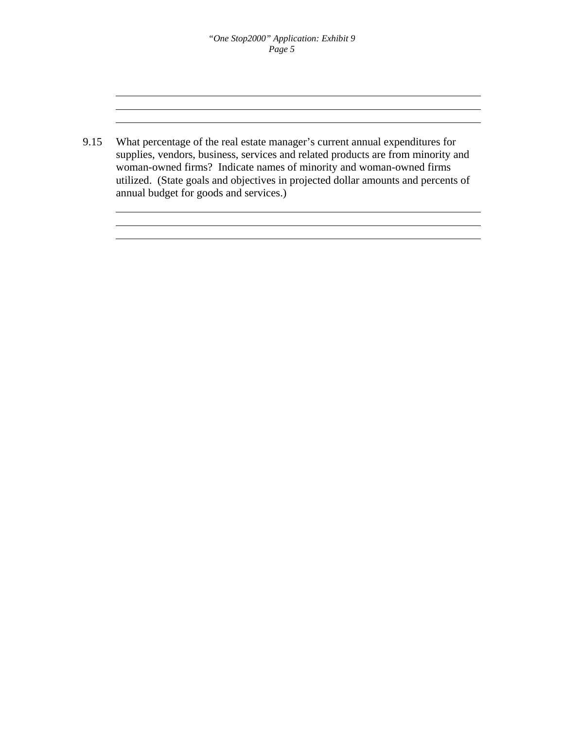9.15 What percentage of the real estate manager's current annual expenditures for supplies, vendors, business, services and related products are from minority and woman-owned firms? Indicate names of minority and woman-owned firms utilized. (State goals and objectives in projected dollar amounts and percents of annual budget for goods and services.)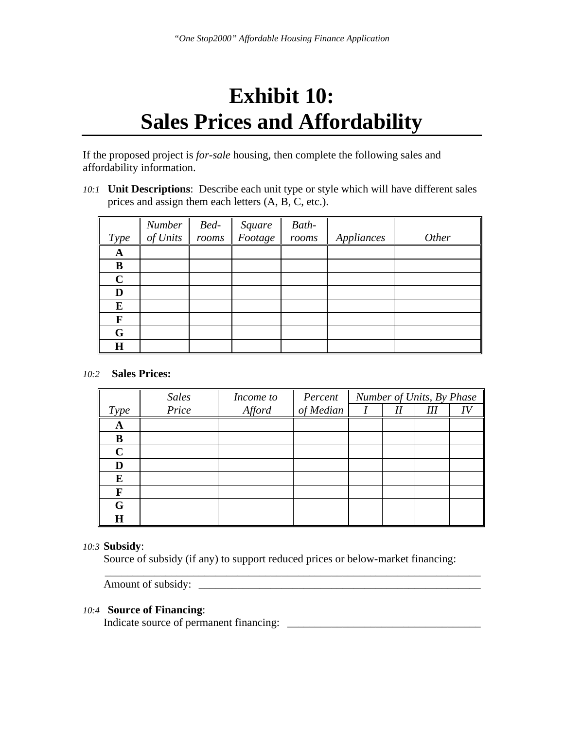## **Exhibit 10: Sales Prices and Affordability**

If the proposed project is *for-sale* housing, then complete the following sales and affordability information.

*10:1* **Unit Descriptions**: Describe each unit type or style which will have different sales prices and assign them each letters (A, B, C, etc.).

|             | Number   | Bed-  | Square<br>Footage | Bath- |            |       |
|-------------|----------|-------|-------------------|-------|------------|-------|
| <i>Type</i> | of Units | rooms |                   | rooms | Appliances | Other |
| A           |          |       |                   |       |            |       |
| B           |          |       |                   |       |            |       |
| $\mathbf C$ |          |       |                   |       |            |       |
| D           |          |       |                   |       |            |       |
| E           |          |       |                   |       |            |       |
| F           |          |       |                   |       |            |       |
| G           |          |       |                   |       |            |       |
| $\bf H$     |          |       |                   |       |            |       |

#### *10:2* **Sales Prices:**

|             | <b>Sales</b> | Income to | Percent   |    | Number of Units, By Phase |  |
|-------------|--------------|-----------|-----------|----|---------------------------|--|
| Type        | Price        | Afford    | of Median | II | Ш                         |  |
| A           |              |           |           |    |                           |  |
| B           |              |           |           |    |                           |  |
| $\mathbf C$ |              |           |           |    |                           |  |
| D           |              |           |           |    |                           |  |
| E           |              |           |           |    |                           |  |
| F           |              |           |           |    |                           |  |
| G           |              |           |           |    |                           |  |
| $\bf H$     |              |           |           |    |                           |  |

#### *10:3* **Subsidy**:

 Source of subsidy (if any) to support reduced prices or below-market financing:  $\overline{\phantom{a}}$  ,  $\overline{\phantom{a}}$  ,  $\overline{\phantom{a}}$  ,  $\overline{\phantom{a}}$  ,  $\overline{\phantom{a}}$  ,  $\overline{\phantom{a}}$  ,  $\overline{\phantom{a}}$  ,  $\overline{\phantom{a}}$  ,  $\overline{\phantom{a}}$  ,  $\overline{\phantom{a}}$  ,  $\overline{\phantom{a}}$  ,  $\overline{\phantom{a}}$  ,  $\overline{\phantom{a}}$  ,  $\overline{\phantom{a}}$  ,  $\overline{\phantom{a}}$  ,  $\overline{\phantom{a}}$ 

Amount of subsidy: \_\_\_\_\_\_\_\_\_\_\_\_\_\_\_\_\_\_\_\_\_\_\_\_\_\_\_\_\_\_\_\_\_\_\_\_\_\_\_\_\_\_\_\_\_\_\_\_\_\_\_

#### *10:4* **Source of Financing**:

Indicate source of permanent financing: \_\_\_\_\_\_\_\_\_\_\_\_\_\_\_\_\_\_\_\_\_\_\_\_\_\_\_\_\_\_\_\_\_\_\_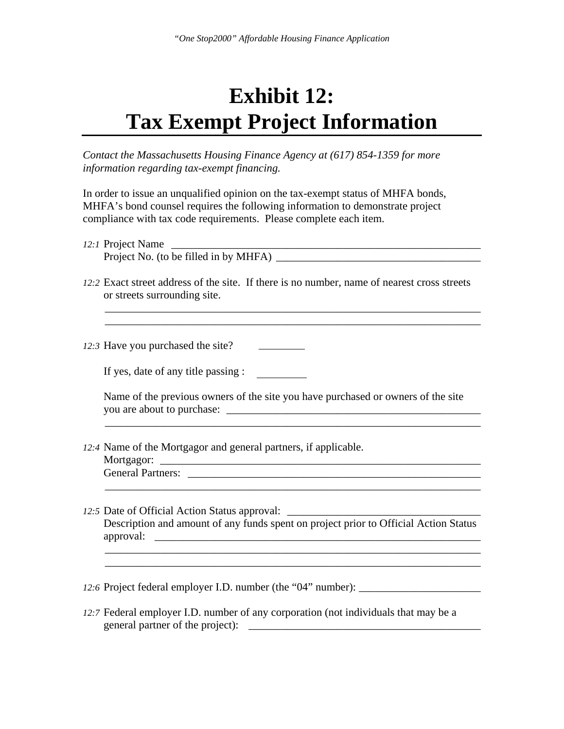## **Exhibit 12: Tax Exempt Project Information**

*Contact the Massachusetts Housing Finance Agency at (617) 854-1359 for more information regarding tax-exempt financing.* 

In order to issue an unqualified opinion on the tax-exempt status of MHFA bonds, MHFA's bond counsel requires the following information to demonstrate project compliance with tax code requirements. Please complete each item.

| 12:1 Project Name                     |  |  |
|---------------------------------------|--|--|
| Project No. (to be filled in by MHFA) |  |  |

*12:2* Exact street address of the site. If there is no number, name of nearest cross streets or streets surrounding site.

 $\overline{\phantom{a}}$  ,  $\overline{\phantom{a}}$  ,  $\overline{\phantom{a}}$  ,  $\overline{\phantom{a}}$  ,  $\overline{\phantom{a}}$  ,  $\overline{\phantom{a}}$  ,  $\overline{\phantom{a}}$  ,  $\overline{\phantom{a}}$  ,  $\overline{\phantom{a}}$  ,  $\overline{\phantom{a}}$  ,  $\overline{\phantom{a}}$  ,  $\overline{\phantom{a}}$  ,  $\overline{\phantom{a}}$  ,  $\overline{\phantom{a}}$  ,  $\overline{\phantom{a}}$  ,  $\overline{\phantom{a}}$  $\overline{\phantom{a}}$  , and the contribution of the contribution of the contribution of the contribution of the contribution of the contribution of the contribution of the contribution of the contribution of the contribution of the

*12:3* Have you purchased the site?

If yes, date of any title passing :

 Name of the previous owners of the site you have purchased or owners of the site you are about to purchase: \_\_\_\_\_\_\_\_\_\_\_\_\_\_\_\_\_\_\_\_\_\_\_\_\_\_\_\_\_\_\_\_\_\_\_\_\_\_\_\_\_\_\_\_\_\_

 $\overline{\phantom{a}}$  , and the contribution of the contribution of the contribution of the contribution of the contribution of the contribution of the contribution of the contribution of the contribution of the contribution of the

*12:4* Name of the Mortgagor and general partners, if applicable.

 Mortgagor: \_\_\_\_\_\_\_\_\_\_\_\_\_\_\_\_\_\_\_\_\_\_\_\_\_\_\_\_\_\_\_\_\_\_\_\_\_\_\_\_\_\_\_\_\_\_\_\_\_\_\_\_\_\_\_\_\_\_ General Partners:

*12:5* Date of Official Action Status approval: \_\_\_\_\_\_\_\_\_\_\_\_\_\_\_\_\_\_\_\_\_\_\_\_\_\_\_\_\_\_\_\_\_\_\_ Description and amount of any funds spent on project prior to Official Action Status approval:

 $\overline{\phantom{a}}$  ,  $\overline{\phantom{a}}$  ,  $\overline{\phantom{a}}$  ,  $\overline{\phantom{a}}$  ,  $\overline{\phantom{a}}$  ,  $\overline{\phantom{a}}$  ,  $\overline{\phantom{a}}$  ,  $\overline{\phantom{a}}$  ,  $\overline{\phantom{a}}$  ,  $\overline{\phantom{a}}$  ,  $\overline{\phantom{a}}$  ,  $\overline{\phantom{a}}$  ,  $\overline{\phantom{a}}$  ,  $\overline{\phantom{a}}$  ,  $\overline{\phantom{a}}$  ,  $\overline{\phantom{a}}$ 

 $\overline{\phantom{a}}$  , and the contribution of the contribution of the contribution of the contribution of the contribution of the contribution of the contribution of the contribution of the contribution of the contribution of the

*12:6* Project federal employer I.D. number (the "04" number): \_\_\_\_\_\_\_\_\_\_\_\_\_\_\_\_\_\_\_\_\_\_

*12:7* Federal employer I.D. number of any corporation (not individuals that may be a general partner of the project): \_\_\_\_\_\_\_\_\_\_\_\_\_\_\_\_\_\_\_\_\_\_\_\_\_\_\_\_\_\_\_\_\_\_\_\_\_\_\_\_\_\_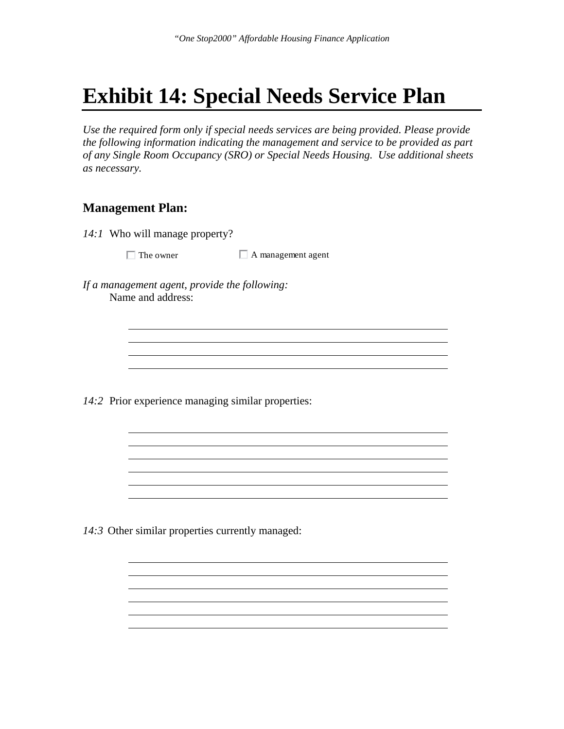## **Exhibit 14: Special Needs Service Plan**

*Use the required form only if special needs services are being provided. Please provide the following information indicating the management and service to be provided as part of any Single Room Occupancy (SRO) or Special Needs Housing. Use additional sheets as necessary.* 

<u> 1980 - Johann Barn, marwolaethau a bhann an t-Amhainn an t-Amhainn an t-Amhainn an t-Amhainn an t-Amhainn an</u>

<u> 1980 - Johann Barn, amerikan besteman besteman besteman besteman besteman besteman besteman besteman bestema</u>

<u> 1980 - Johann Barn, mars an t-Amerikaansk politiker (</u>

### **Management Plan:**

*14:1* Who will manage property?

 $\Box$  The owner  $\Box$  A management agent

*If a management agent, provide the following:*  Name and address:

*14:2* Prior experience managing similar properties:

*14:3* Other similar properties currently managed: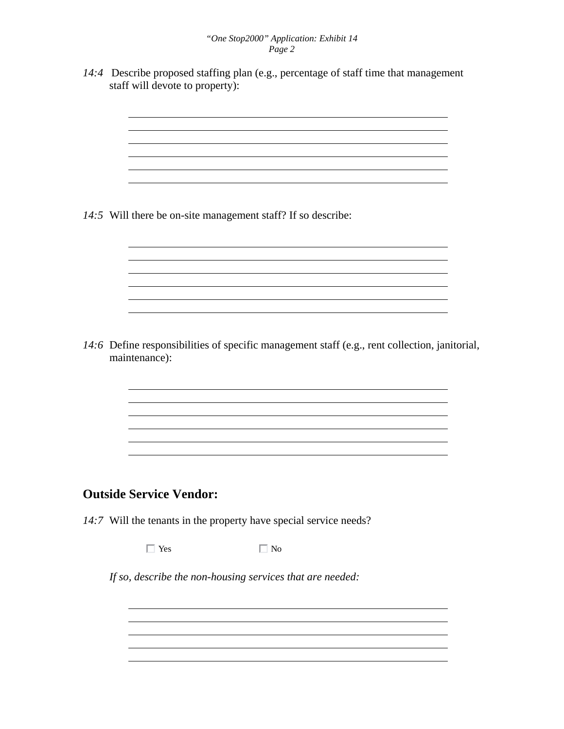*14:4* Describe proposed staffing plan (e.g., percentage of staff time that management staff will devote to property):

*14:5* Will there be on-site management staff? If so describe:

*14:6* Define responsibilities of specific management staff (e.g., rent collection, janitorial, maintenance):

<u> 1980 - Johann Barn, mars ann an t-Amhain Aonaichte ann an t-Aonaichte ann an t-Aonaichte ann an t-Aonaichte a</u>

### **Outside Service Vendor:**

*14:7* Will the tenants in the property have special service needs?

 $\Box$  Yes  $\Box$  No

*If so, describe the non-housing services that are needed:*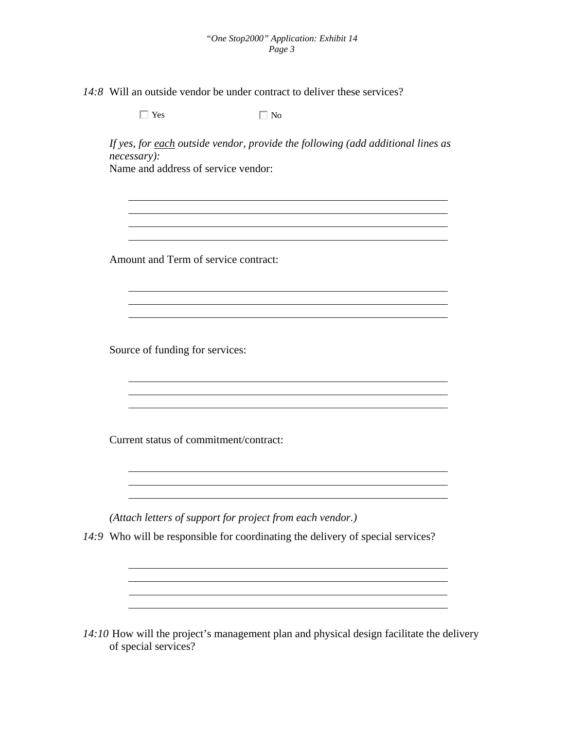*14:8* Will an outside vendor be under contract to deliver these services?

| Amount and Term of service contract:<br>Source of funding for services: |                                        |  |
|-------------------------------------------------------------------------|----------------------------------------|--|
|                                                                         |                                        |  |
|                                                                         |                                        |  |
|                                                                         |                                        |  |
|                                                                         |                                        |  |
|                                                                         |                                        |  |
|                                                                         |                                        |  |
|                                                                         | Current status of commitment/contract: |  |

*14:10* How will the project's management plan and physical design facilitate the delivery of special services?

<u> 1980 - Johann Barnett, fransk politik (f. 1980)</u>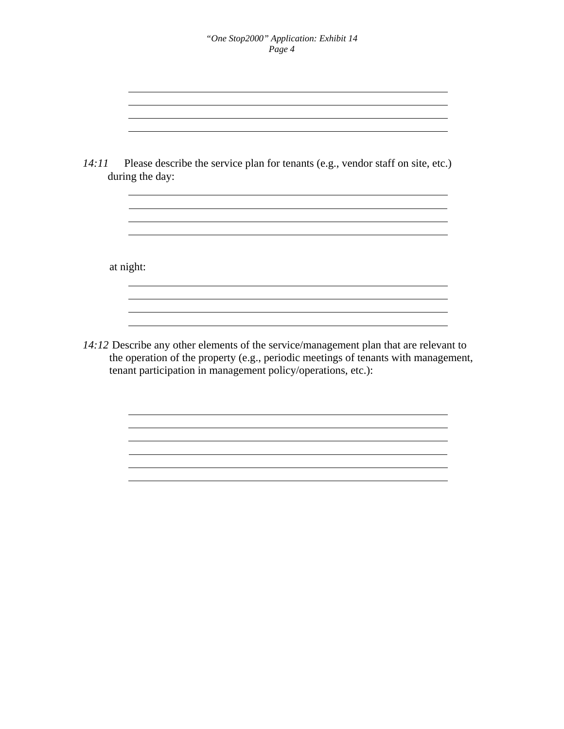| 14:11 Please describe the service plan for tenants (e.g., vendor staff on site, etc.)<br>during the day: |
|----------------------------------------------------------------------------------------------------------|
|                                                                                                          |
|                                                                                                          |
| at night:                                                                                                |
|                                                                                                          |
|                                                                                                          |

<u> 1989 - Johann Stoff, deutscher Stoffen und der Stoffen und der Stoffen und der Stoffen und der Stoffen und der</u> <u> 1989 - Johann Stoff, amerikansk politiker (d. 1989)</u>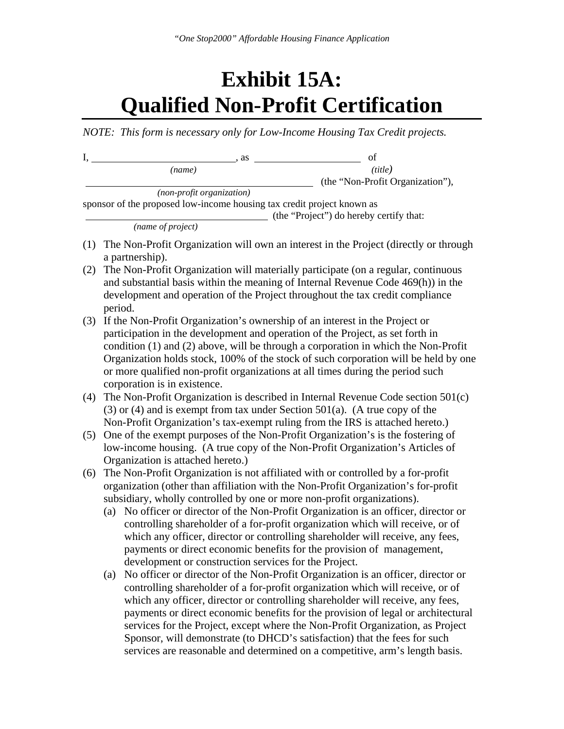## **Exhibit 15A: Qualified Non-Profit Certification**

*NOTE: This form is necessary only for Low-Income Housing Tax Credit projects.* 

| I,  | , as                                                                        | of                                                                                                                                                                 |
|-----|-----------------------------------------------------------------------------|--------------------------------------------------------------------------------------------------------------------------------------------------------------------|
|     | (name)                                                                      | (title)                                                                                                                                                            |
|     |                                                                             | (the "Non-Profit Organization"),                                                                                                                                   |
|     | (non-profit organization)                                                   |                                                                                                                                                                    |
|     | sponsor of the proposed low-income housing tax credit project known as      | (the "Project") do hereby certify that:                                                                                                                            |
|     | (name of project)                                                           |                                                                                                                                                                    |
| (1) |                                                                             | The Non-Profit Organization will own an interest in the Project (directly or through                                                                               |
|     | a partnership).                                                             |                                                                                                                                                                    |
| (2) |                                                                             | The Non-Profit Organization will materially participate (on a regular, continuous                                                                                  |
|     |                                                                             | and substantial basis within the meaning of Internal Revenue Code 469(h)) in the                                                                                   |
|     | period.                                                                     | development and operation of the Project throughout the tax credit compliance                                                                                      |
| (3) | If the Non-Profit Organization's ownership of an interest in the Project or |                                                                                                                                                                    |
|     |                                                                             | participation in the development and operation of the Project, as set forth in                                                                                     |
|     |                                                                             | condition (1) and (2) above, will be through a corporation in which the Non-Profit                                                                                 |
|     |                                                                             | Organization holds stock, 100% of the stock of such corporation will be held by one                                                                                |
|     |                                                                             | or more qualified non-profit organizations at all times during the period such                                                                                     |
|     | corporation is in existence.                                                |                                                                                                                                                                    |
| (4) |                                                                             | The Non-Profit Organization is described in Internal Revenue Code section $501(c)$                                                                                 |
|     |                                                                             | $(3)$ or $(4)$ and is exempt from tax under Section 501(a). (A true copy of the                                                                                    |
|     |                                                                             | Non-Profit Organization's tax-exempt ruling from the IRS is attached hereto.)                                                                                      |
| (5) |                                                                             | One of the exempt purposes of the Non-Profit Organization's is the fostering of                                                                                    |
|     |                                                                             | low-income housing. (A true copy of the Non-Profit Organization's Articles of                                                                                      |
|     | Organization is attached hereto.)                                           |                                                                                                                                                                    |
| (6) |                                                                             | The Non-Profit Organization is not affiliated with or controlled by a for-profit                                                                                   |
|     |                                                                             | organization (other than affiliation with the Non-Profit Organization's for-profit                                                                                 |
|     | subsidiary, wholly controlled by one or more non-profit organizations).     |                                                                                                                                                                    |
|     | (a)                                                                         | No officer or director of the Non-Profit Organization is an officer, director or<br>controlling shareholder of a for-profit organization which will receive, or of |
|     |                                                                             | which any officer, director or controlling shareholder will receive, any fees,                                                                                     |
|     |                                                                             | payments or direct economic benefits for the provision of management,                                                                                              |
|     | development or construction services for the Project.                       |                                                                                                                                                                    |
|     | (a)                                                                         | No officer or director of the Non-Profit Organization is an officer, director or                                                                                   |
|     |                                                                             | controlling shareholder of a for-profit organization which will receive, or of                                                                                     |
|     |                                                                             | which any officer, director or controlling shareholder will receive, any fees,                                                                                     |
|     |                                                                             | payments or direct economic benefits for the provision of legal or architectural                                                                                   |
|     |                                                                             | services for the Project, except where the Non-Profit Organization, as Project                                                                                     |
|     |                                                                             | Sponsor, will demonstrate (to DHCD's satisfaction) that the fees for such                                                                                          |

services are reasonable and determined on a competitive, arm's length basis.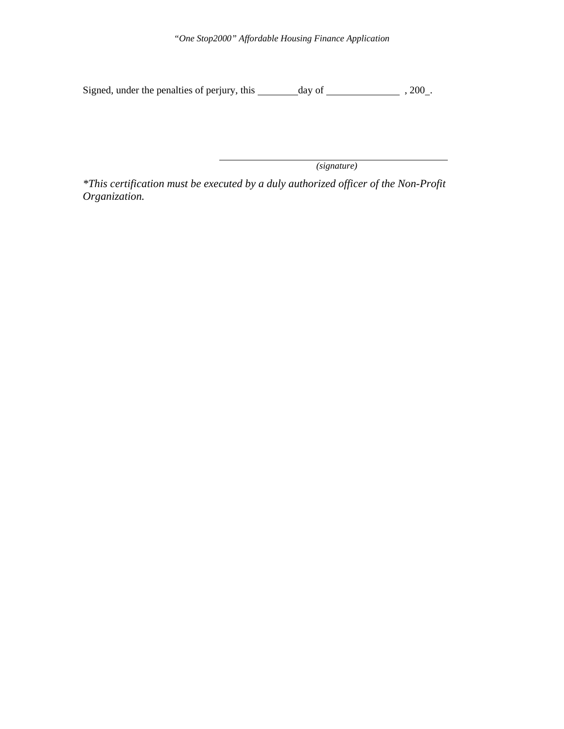*"One Stop2000" Affordable Housing Finance Application* 

Signed, under the penalties of perjury, this \_\_\_\_\_\_\_ day of \_\_\_\_\_\_\_\_\_\_\_\_\_\_\_\_\_\_\_\_, 200\_.

 *(signature)* 

*\*This certification must be executed by a duly authorized officer of the Non-Profit Organization.*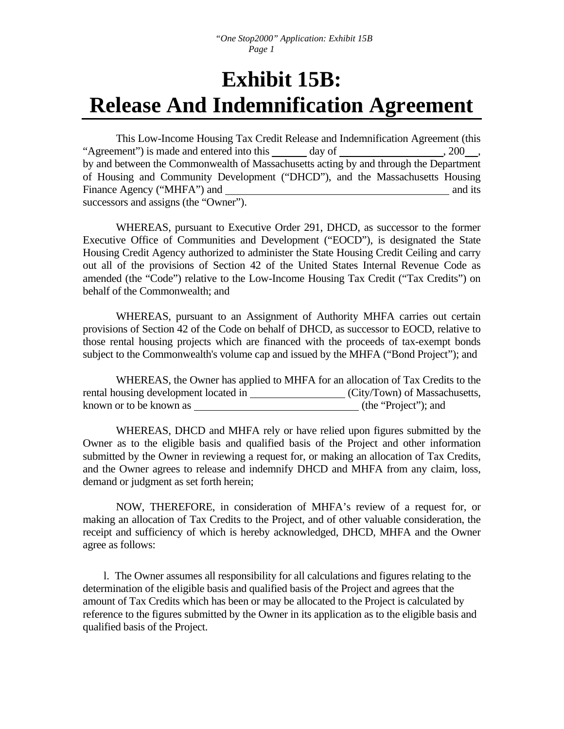## **Exhibit 15B: Release And Indemnification Agreement**

This Low-Income Housing Tax Credit Release and Indemnification Agreement (this "Agreement") is made and entered into this day of , 200, , by and between the Commonwealth of Massachusetts acting by and through the Department of Housing and Community Development ("DHCD"), and the Massachusetts Housing Finance Agency ("MHFA") and and its and its and its and its and its and its and its and its and its and its and its and its and its and its and its and its and its and its and its and its and its and its and its and its an successors and assigns (the "Owner").

 WHEREAS, pursuant to Executive Order 291, DHCD, as successor to the former Executive Office of Communities and Development ("EOCD"), is designated the State Housing Credit Agency authorized to administer the State Housing Credit Ceiling and carry out all of the provisions of Section 42 of the United States Internal Revenue Code as amended (the "Code") relative to the Low-Income Housing Tax Credit ("Tax Credits") on behalf of the Commonwealth; and

 WHEREAS, pursuant to an Assignment of Authority MHFA carries out certain provisions of Section 42 of the Code on behalf of DHCD, as successor to EOCD, relative to those rental housing projects which are financed with the proceeds of tax-exempt bonds subject to the Commonwealth's volume cap and issued by the MHFA ("Bond Project"); and

 WHEREAS, the Owner has applied to MHFA for an allocation of Tax Credits to the rental housing development located in (City/Town) of Massachusetts, known or to be known as (the "Project"); and

 WHEREAS, DHCD and MHFA rely or have relied upon figures submitted by the Owner as to the eligible basis and qualified basis of the Project and other information submitted by the Owner in reviewing a request for, or making an allocation of Tax Credits, and the Owner agrees to release and indemnify DHCD and MHFA from any claim, loss, demand or judgment as set forth herein;

 NOW, THEREFORE, in consideration of MHFA's review of a request for, or making an allocation of Tax Credits to the Project, and of other valuable consideration, the receipt and sufficiency of which is hereby acknowledged, DHCD, MHFA and the Owner agree as follows:

 l. The Owner assumes all responsibility for all calculations and figures relating to the determination of the eligible basis and qualified basis of the Project and agrees that the amount of Tax Credits which has been or may be allocated to the Project is calculated by reference to the figures submitted by the Owner in its application as to the eligible basis and qualified basis of the Project.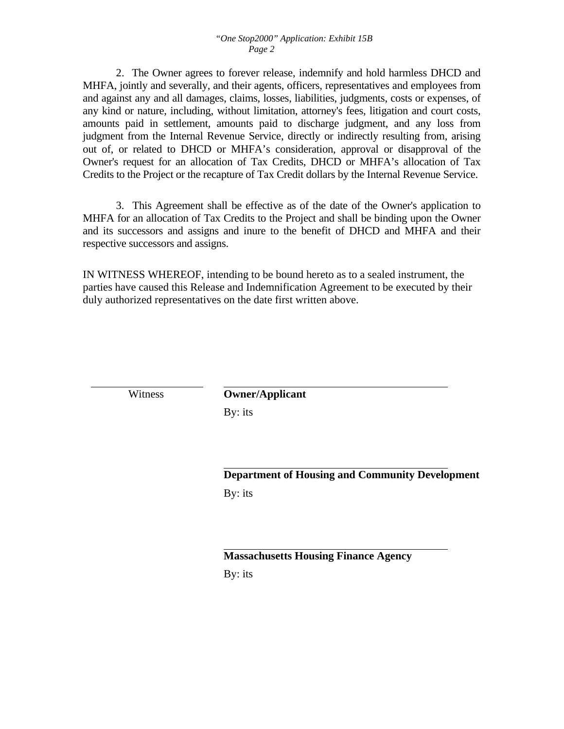2. The Owner agrees to forever release, indemnify and hold harmless DHCD and MHFA, jointly and severally, and their agents, officers, representatives and employees from and against any and all damages, claims, losses, liabilities, judgments, costs or expenses, of any kind or nature, including, without limitation, attorney's fees, litigation and court costs, amounts paid in settlement, amounts paid to discharge judgment, and any loss from judgment from the Internal Revenue Service, directly or indirectly resulting from, arising out of, or related to DHCD or MHFA's consideration, approval or disapproval of the Owner's request for an allocation of Tax Credits, DHCD or MHFA's allocation of Tax Credits to the Project or the recapture of Tax Credit dollars by the Internal Revenue Service.

 3. This Agreement shall be effective as of the date of the Owner's application to MHFA for an allocation of Tax Credits to the Project and shall be binding upon the Owner and its successors and assigns and inure to the benefit of DHCD and MHFA and their respective successors and assigns.

IN WITNESS WHEREOF, intending to be bound hereto as to a sealed instrument, the parties have caused this Release and Indemnification Agreement to be executed by their duly authorized representatives on the date first written above.

 Witness **Owner/Applicant** By: its

> **Department of Housing and Community Development**  By: its

**Massachusetts Housing Finance Agency** By: its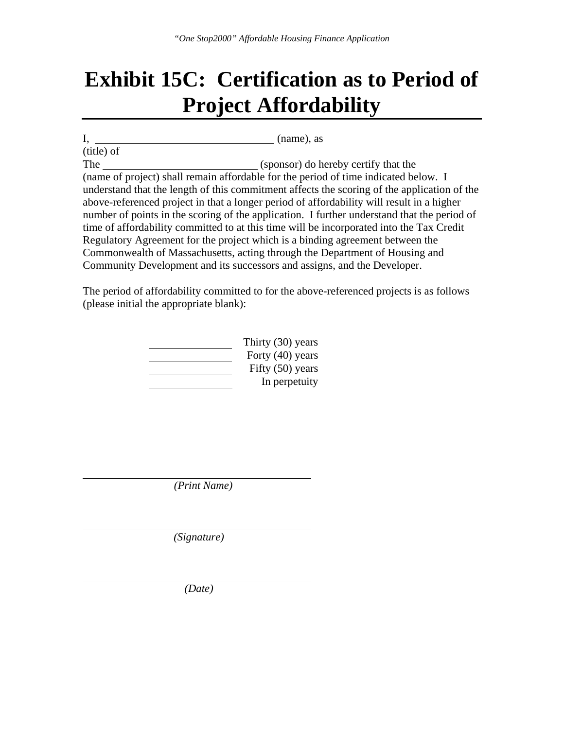## **Exhibit 15C: Certification as to Period of Project Affordability**

I, (name), as (title) of The (sponsor) do hereby certify that the (name of project) shall remain affordable for the period of time indicated below. I understand that the length of this commitment affects the scoring of the application of the above-referenced project in that a longer period of affordability will result in a higher number of points in the scoring of the application. I further understand that the period of time of affordability committed to at this time will be incorporated into the Tax Credit Regulatory Agreement for the project which is a binding agreement between the Commonwealth of Massachusetts, acting through the Department of Housing and Community Development and its successors and assigns, and the Developer.

The period of affordability committed to for the above-referenced projects is as follows (please initial the appropriate blank):

| Thirty (30) years  |
|--------------------|
| Forty (40) years   |
| Fifty $(50)$ years |
| In perpetuity      |

 *(Print Name)* 

 *(Signature)* 

 *(Date)*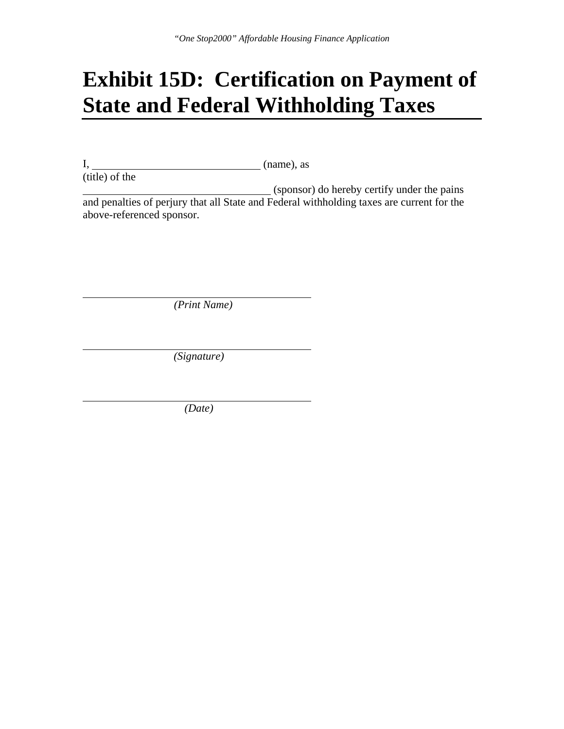## **Exhibit 15D: Certification on Payment of State and Federal Withholding Taxes**

I, (name), as  $(title)$  of the

(sponsor) do hereby certify under the pains and penalties of perjury that all State and Federal withholding taxes are current for the above-referenced sponsor.

 *(Print Name)* 

 *(Signature)* 

 *(Date)*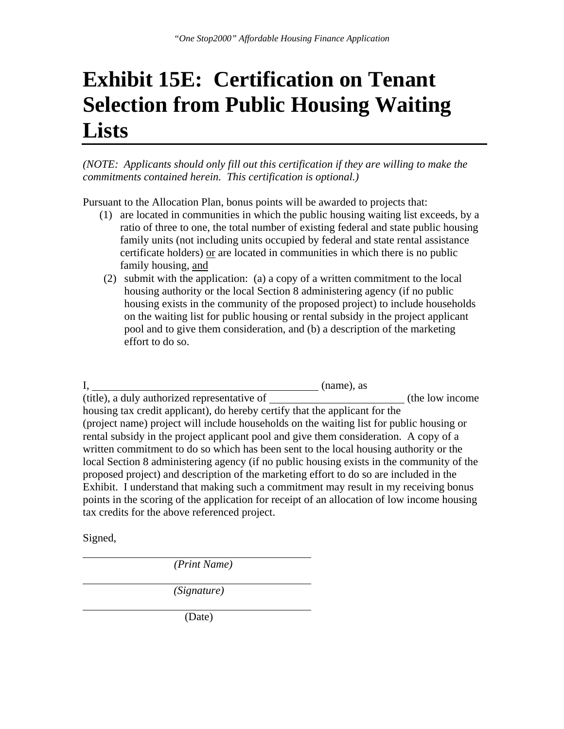## **Exhibit 15E: Certification on Tenant Selection from Public Housing Waiting Lists**

*(NOTE: Applicants should only fill out this certification if they are willing to make the commitments contained herein. This certification is optional.)* 

Pursuant to the Allocation Plan, bonus points will be awarded to projects that:

- (1) are located in communities in which the public housing waiting list exceeds, by a ratio of three to one, the total number of existing federal and state public housing family units (not including units occupied by federal and state rental assistance certificate holders) or are located in communities in which there is no public family housing, and
- (2) submit with the application: (a) a copy of a written commitment to the local housing authority or the local Section 8 administering agency (if no public housing exists in the community of the proposed project) to include households on the waiting list for public housing or rental subsidy in the project applicant pool and to give them consideration, and (b) a description of the marketing effort to do so.

I, (name), as  $\frac{1}{t}$  (title), a duly authorized representative of  $\frac{1}{t}$  (the low income housing tax credit applicant), do hereby certify that the applicant for the (project name) project will include households on the waiting list for public housing or rental subsidy in the project applicant pool and give them consideration. A copy of a written commitment to do so which has been sent to the local housing authority or the local Section 8 administering agency (if no public housing exists in the community of the proposed project) and description of the marketing effort to do so are included in the Exhibit. I understand that making such a commitment may result in my receiving bonus points in the scoring of the application for receipt of an allocation of low income housing tax credits for the above referenced project.

Signed,

 *(Print Name)* 

 *(Signature)* 

(Date)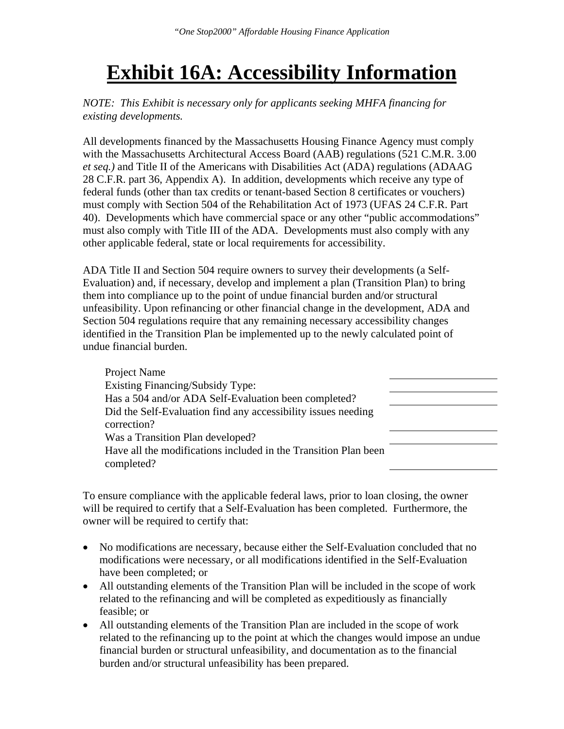## **Exhibit 16A: Accessibility Information**

*NOTE: This Exhibit is necessary only for applicants seeking MHFA financing for existing developments.* 

All developments financed by the Massachusetts Housing Finance Agency must comply with the Massachusetts Architectural Access Board (AAB) regulations (521 C.M.R. 3.00 *et seq.)* and Title II of the Americans with Disabilities Act (ADA) regulations (ADAAG 28 C.F.R. part 36, Appendix A). In addition, developments which receive any type of federal funds (other than tax credits or tenant-based Section 8 certificates or vouchers) must comply with Section 504 of the Rehabilitation Act of 1973 (UFAS 24 C.F.R. Part 40). Developments which have commercial space or any other "public accommodations" must also comply with Title III of the ADA. Developments must also comply with any other applicable federal, state or local requirements for accessibility.

ADA Title II and Section 504 require owners to survey their developments (a Self-Evaluation) and, if necessary, develop and implement a plan (Transition Plan) to bring them into compliance up to the point of undue financial burden and/or structural unfeasibility. Upon refinancing or other financial change in the development, ADA and Section 504 regulations require that any remaining necessary accessibility changes identified in the Transition Plan be implemented up to the newly calculated point of undue financial burden.

| Project Name                                                    |  |
|-----------------------------------------------------------------|--|
| Existing Financing/Subsidy Type:                                |  |
| Has a 504 and/or ADA Self-Evaluation been completed?            |  |
| Did the Self-Evaluation find any accessibility issues needing   |  |
| correction?                                                     |  |
| Was a Transition Plan developed?                                |  |
| Have all the modifications included in the Transition Plan been |  |
| completed?                                                      |  |

To ensure compliance with the applicable federal laws, prior to loan closing, the owner will be required to certify that a Self-Evaluation has been completed. Furthermore, the owner will be required to certify that:

- No modifications are necessary, because either the Self-Evaluation concluded that no modifications were necessary, or all modifications identified in the Self-Evaluation have been completed; or
- All outstanding elements of the Transition Plan will be included in the scope of work related to the refinancing and will be completed as expeditiously as financially feasible; or
- All outstanding elements of the Transition Plan are included in the scope of work related to the refinancing up to the point at which the changes would impose an undue financial burden or structural unfeasibility, and documentation as to the financial burden and/or structural unfeasibility has been prepared.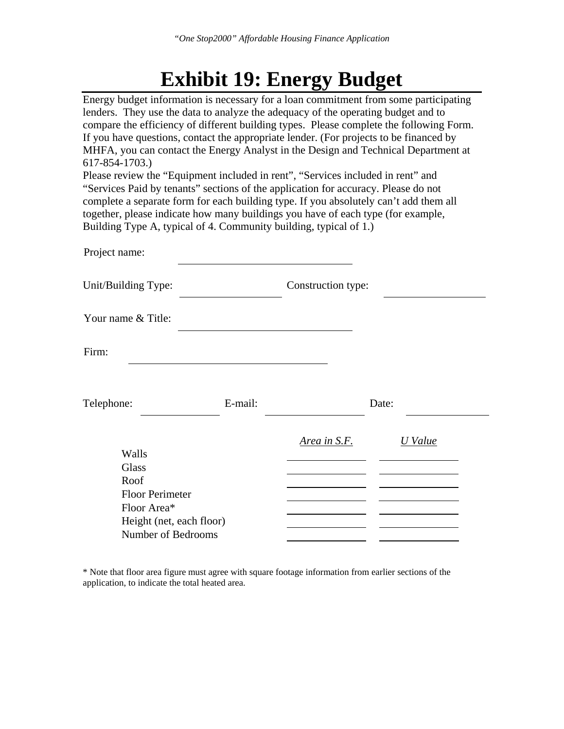## **Exhibit 19: Energy Budget**

| Energy budget information is necessary for a loan commitment from some participating<br>lenders. They use the data to analyze the adequacy of the operating budget and to<br>compare the efficiency of different building types. Please complete the following Form.<br>If you have questions, contact the appropriate lender. (For projects to be financed by<br>MHFA, you can contact the Energy Analyst in the Design and Technical Department at<br>617-854-1703.)<br>Please review the "Equipment included in rent", "Services included in rent" and<br>"Services Paid by tenants" sections of the application for accuracy. Please do not |         |                    |         |  |  |  |  |
|-------------------------------------------------------------------------------------------------------------------------------------------------------------------------------------------------------------------------------------------------------------------------------------------------------------------------------------------------------------------------------------------------------------------------------------------------------------------------------------------------------------------------------------------------------------------------------------------------------------------------------------------------|---------|--------------------|---------|--|--|--|--|
| complete a separate form for each building type. If you absolutely can't add them all                                                                                                                                                                                                                                                                                                                                                                                                                                                                                                                                                           |         |                    |         |  |  |  |  |
| together, please indicate how many buildings you have of each type (for example,<br>Building Type A, typical of 4. Community building, typical of 1.)                                                                                                                                                                                                                                                                                                                                                                                                                                                                                           |         |                    |         |  |  |  |  |
|                                                                                                                                                                                                                                                                                                                                                                                                                                                                                                                                                                                                                                                 |         |                    |         |  |  |  |  |
| Project name:                                                                                                                                                                                                                                                                                                                                                                                                                                                                                                                                                                                                                                   |         |                    |         |  |  |  |  |
| Unit/Building Type:                                                                                                                                                                                                                                                                                                                                                                                                                                                                                                                                                                                                                             |         | Construction type: |         |  |  |  |  |
| Your name & Title:                                                                                                                                                                                                                                                                                                                                                                                                                                                                                                                                                                                                                              |         |                    |         |  |  |  |  |
| Firm:                                                                                                                                                                                                                                                                                                                                                                                                                                                                                                                                                                                                                                           |         |                    |         |  |  |  |  |
|                                                                                                                                                                                                                                                                                                                                                                                                                                                                                                                                                                                                                                                 |         |                    |         |  |  |  |  |
| Telephone:                                                                                                                                                                                                                                                                                                                                                                                                                                                                                                                                                                                                                                      | E-mail: |                    | Date:   |  |  |  |  |
| Walls                                                                                                                                                                                                                                                                                                                                                                                                                                                                                                                                                                                                                                           |         | Area in S.F.       | U Value |  |  |  |  |
| <b>Glass</b>                                                                                                                                                                                                                                                                                                                                                                                                                                                                                                                                                                                                                                    |         |                    |         |  |  |  |  |
| Roof                                                                                                                                                                                                                                                                                                                                                                                                                                                                                                                                                                                                                                            |         |                    |         |  |  |  |  |
| <b>Floor Perimeter</b>                                                                                                                                                                                                                                                                                                                                                                                                                                                                                                                                                                                                                          |         |                    |         |  |  |  |  |
| Floor Area*                                                                                                                                                                                                                                                                                                                                                                                                                                                                                                                                                                                                                                     |         |                    |         |  |  |  |  |
| Height (net, each floor)                                                                                                                                                                                                                                                                                                                                                                                                                                                                                                                                                                                                                        |         |                    |         |  |  |  |  |
| Number of Bedrooms                                                                                                                                                                                                                                                                                                                                                                                                                                                                                                                                                                                                                              |         |                    |         |  |  |  |  |

\* Note that floor area figure must agree with square footage information from earlier sections of the application, to indicate the total heated area.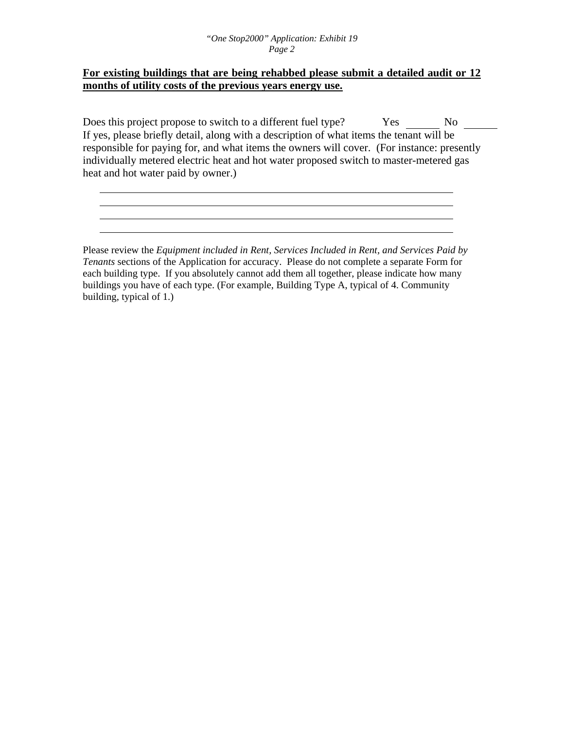#### **For existing buildings that are being rehabbed please submit a detailed audit or 12 months of utility costs of the previous years energy use.**

Does this project propose to switch to a different fuel type? Yes No If yes, please briefly detail, along with a description of what items the tenant will be responsible for paying for, and what items the owners will cover. (For instance: presently individually metered electric heat and hot water proposed switch to master-metered gas heat and hot water paid by owner.)

Please review the *Equipment included in Rent, Services Included in Rent, and Services Paid by Tenants* sections of the Application for accuracy. Please do not complete a separate Form for each building type. If you absolutely cannot add them all together, please indicate how many buildings you have of each type. (For example, Building Type A, typical of 4. Community building, typical of 1.)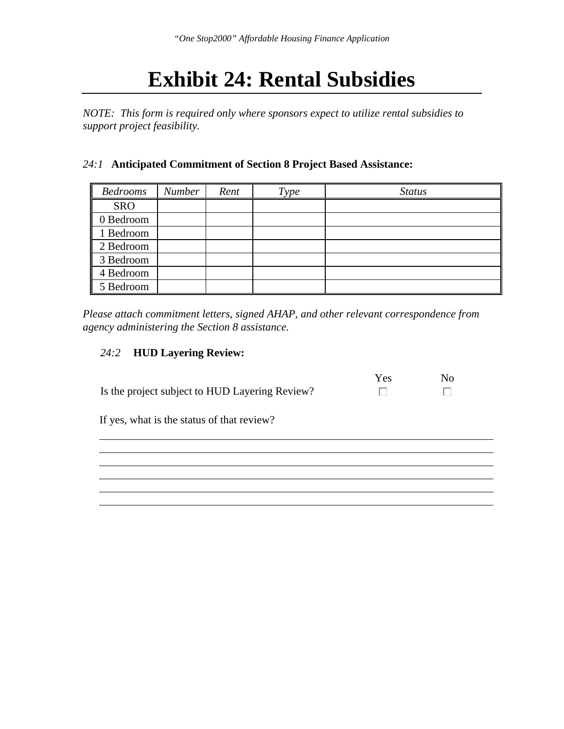## **Exhibit 24: Rental Subsidies**

*NOTE: This form is required only where sponsors expect to utilize rental subsidies to support project feasibility.* 

#### *24:1* **Anticipated Commitment of Section 8 Project Based Assistance:**

| Bedrooms   | <b>Number</b> | Rent | Type | <b>Status</b> |
|------------|---------------|------|------|---------------|
| <b>SRO</b> |               |      |      |               |
| 0 Bedroom  |               |      |      |               |
| 1 Bedroom  |               |      |      |               |
| 2 Bedroom  |               |      |      |               |
| 3 Bedroom  |               |      |      |               |
| 4 Bedroom  |               |      |      |               |
| 5 Bedroom  |               |      |      |               |

*Please attach commitment letters, signed AHAP, and other relevant correspondence from agency administering the Section 8 assistance.* 

#### *24:2* **HUD Layering Review:**

|                                                | Yes. | Nο |
|------------------------------------------------|------|----|
| Is the project subject to HUD Layering Review? |      |    |

If yes, what is the status of that review?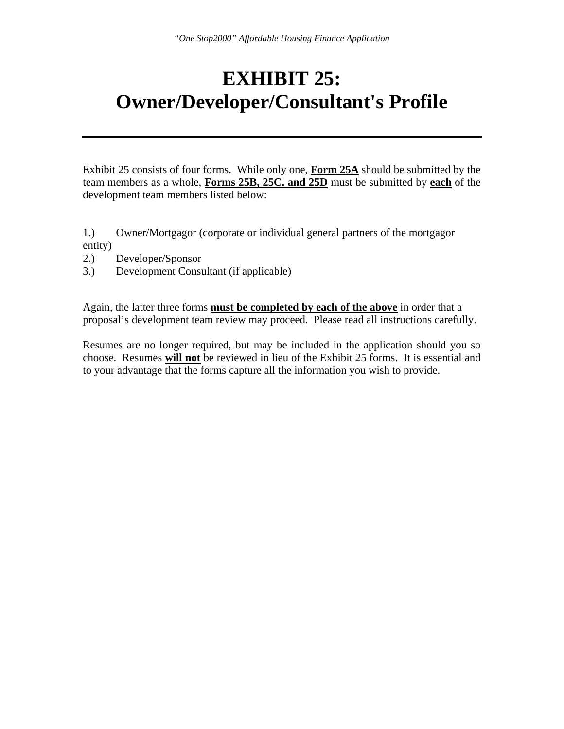## **EXHIBIT 25: Owner/Developer/Consultant's Profile**

Exhibit 25 consists of four forms. While only one, **Form 25A** should be submitted by the team members as a whole, **Forms 25B, 25C. and 25D** must be submitted by **each** of the development team members listed below:

1.) Owner/Mortgagor (corporate or individual general partners of the mortgagor entity)

- 2.) Developer/Sponsor
- 3.) Development Consultant (if applicable)

Again, the latter three forms **must be completed by each of the above** in order that a proposal's development team review may proceed. Please read all instructions carefully.

Resumes are no longer required, but may be included in the application should you so choose. Resumes **will not** be reviewed in lieu of the Exhibit 25 forms. It is essential and to your advantage that the forms capture all the information you wish to provide.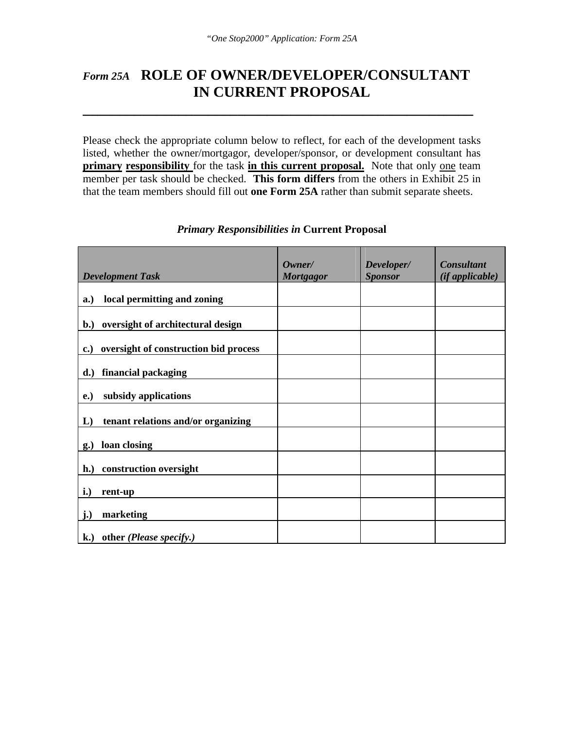### *Form 25A* **ROLE OF OWNER/DEVELOPER/CONSULTANT IN CURRENT PROPOSAL**

**\_\_\_\_\_\_\_\_\_\_\_\_\_\_\_\_\_\_\_\_\_\_\_\_\_\_\_\_\_\_\_\_\_\_\_\_\_\_\_\_\_\_\_\_\_\_\_\_\_\_\_\_\_** 

Please check the appropriate column below to reflect, for each of the development tasks listed, whether the owner/mortgagor, developer/sponsor, or development consultant has **primary responsibility** for the task **in this current proposal.** Note that only one team member per task should be checked. **This form differs** from the others in Exhibit 25 in that the team members should fill out **one Form 25A** rather than submit separate sheets.

| <b>Development Task</b>                                  | Owner/<br><b>Mortgagor</b> | Developer/<br><b>Sponsor</b> | <b>Consultant</b><br>(if applicable) |
|----------------------------------------------------------|----------------------------|------------------------------|--------------------------------------|
|                                                          |                            |                              |                                      |
| local permitting and zoning<br>a.)                       |                            |                              |                                      |
| b.) oversight of architectural design                    |                            |                              |                                      |
| oversight of construction bid process<br>$\mathbf{c}$ .) |                            |                              |                                      |
| financial packaging<br>$\mathbf{d}$ .)                   |                            |                              |                                      |
| subsidy applications<br>e.)                              |                            |                              |                                      |
| L)<br>tenant relations and/or organizing                 |                            |                              |                                      |
| loan closing<br>g.)                                      |                            |                              |                                      |
| construction oversight<br>$\mathbf{h}$ .)                |                            |                              |                                      |
| i.)<br>rent-up                                           |                            |                              |                                      |
| j.)<br>marketing                                         |                            |                              |                                      |
| other (Please specify.)<br>$\mathbf{k}$ .)               |                            |                              |                                      |

#### *Primary Responsibilities in* **Current Proposal**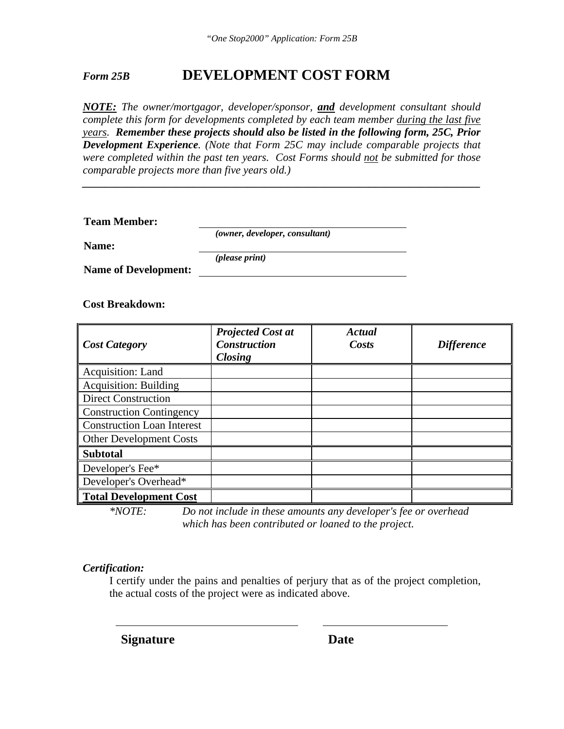### *Form 25B* **DEVELOPMENT COST FORM**

*NOTE: The owner/mortgagor, developer/sponsor, and development consultant should complete this form for developments completed by each team member during the last five years. Remember these projects should also be listed in the following form, 25C, Prior Development Experience. (Note that Form 25C may include comparable projects that were completed within the past ten years. Cost Forms should not be submitted for those comparable projects more than five years old.)* 

*\_\_\_\_\_\_\_\_\_\_\_\_\_\_\_\_\_\_\_\_\_\_\_\_\_\_\_\_\_\_\_\_\_\_\_\_\_\_\_\_\_\_\_\_\_\_\_\_\_\_\_\_\_\_\_\_\_\_\_\_\_\_\_\_\_\_\_\_\_\_\_\_* 

| <b>Team Member:</b>         |                                         |  |
|-----------------------------|-----------------------------------------|--|
|                             | ( <i>owner, developer, consultant</i> ) |  |
| Name:                       |                                         |  |
|                             | ( <i>please print</i> )                 |  |
| <b>Name of Development:</b> |                                         |  |

#### **Cost Breakdown:**

| <b>Cost Category</b>              | <b>Projected Cost at</b><br><b>Construction</b><br><b>Closing</b> | Actual<br>Costs | <b>Difference</b> |
|-----------------------------------|-------------------------------------------------------------------|-----------------|-------------------|
| Acquisition: Land                 |                                                                   |                 |                   |
| <b>Acquisition: Building</b>      |                                                                   |                 |                   |
| <b>Direct Construction</b>        |                                                                   |                 |                   |
| <b>Construction Contingency</b>   |                                                                   |                 |                   |
| <b>Construction Loan Interest</b> |                                                                   |                 |                   |
| <b>Other Development Costs</b>    |                                                                   |                 |                   |
| <b>Subtotal</b>                   |                                                                   |                 |                   |
| Developer's Fee*                  |                                                                   |                 |                   |
| Developer's Overhead*             |                                                                   |                 |                   |
| <b>Total Development Cost</b>     |                                                                   |                 |                   |

*\*NOTE: Do not include in these amounts any developer's fee or overhead which has been contributed or loaned to the project.*

#### *Certification:*

I certify under the pains and penalties of perjury that as of the project completion, the actual costs of the project were as indicated above.

**Signature** Date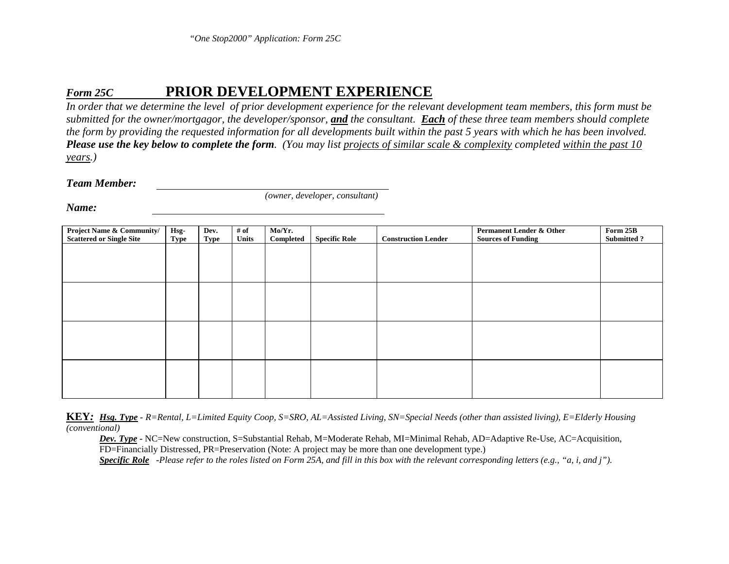#### *Form 25C***PRIOR DEVELOPMENT EXPERIENCE**

*In order that we determine the level of prior development experience for the relevant development team members, this form must be submitted for the owner/mortgagor, the developer/sponsor, and the consultant. Each of these three team members should complete the form by providing the requested information for all developments built within the past 5 years with which he has been involved. Please use the key below to complete the form. (You may list projects of similar scale & complexity completed within the past 10 years.)* 

*Team Member:* 

*(owner, developer, consultant)* 

*Name:* 

| <b>Project Name &amp; Community/</b><br><b>Scattered or Single Site</b> | Hsg-<br><b>Type</b> | Dev.<br>Type | # of<br><b>Units</b> | Mo/Yr.<br>Completed | <b>Specific Role</b> | <b>Construction Lender</b> | <b>Permanent Lender &amp; Other</b><br><b>Sources of Funding</b> | Form 25B<br><b>Submitted?</b> |
|-------------------------------------------------------------------------|---------------------|--------------|----------------------|---------------------|----------------------|----------------------------|------------------------------------------------------------------|-------------------------------|
|                                                                         |                     |              |                      |                     |                      |                            |                                                                  |                               |
|                                                                         |                     |              |                      |                     |                      |                            |                                                                  |                               |
|                                                                         |                     |              |                      |                     |                      |                            |                                                                  |                               |
|                                                                         |                     |              |                      |                     |                      |                            |                                                                  |                               |
|                                                                         |                     |              |                      |                     |                      |                            |                                                                  |                               |
|                                                                         |                     |              |                      |                     |                      |                            |                                                                  |                               |
|                                                                         |                     |              |                      |                     |                      |                            |                                                                  |                               |
|                                                                         |                     |              |                      |                     |                      |                            |                                                                  |                               |

**KEY***: Hsg. Type - R=Rental, L=Limited Equity Coop, S=SRO, AL=Assisted Living, SN=Special Needs (other than assisted living), E=Elderly Housing (conventional)* 

*Dev. Type* **-** NC=New construction, S=Substantial Rehab, M=Moderate Rehab, MI=Minimal Rehab, AD=Adaptive Re-Use, AC=Acquisition, FD=Financially Distressed, PR=Preservation (Note: A project may be more than one development type.) *Specific Role -Please refer to the roles listed on Form 25A, and fill in this box with the relevant corresponding letters (e.g., "a, i, and j").*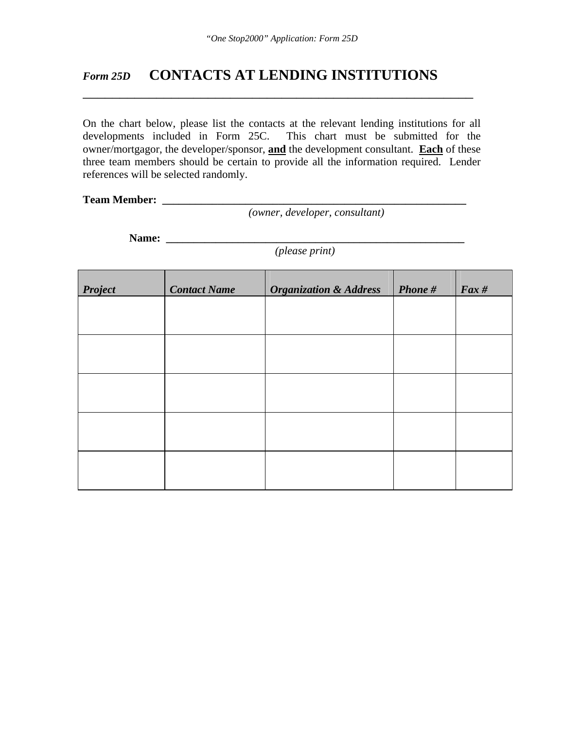\_\_\_\_\_\_\_\_\_\_\_\_\_\_\_\_\_\_\_\_\_\_\_\_\_\_\_\_\_\_\_\_\_\_\_\_\_\_\_\_\_\_\_\_\_\_\_\_\_\_\_\_\_

### *Form 25D* **CONTACTS AT LENDING INSTITUTIONS**

On the chart below, please list the contacts at the relevant lending institutions for all developments included in Form 25C. This chart must be submitted for the This chart must be submitted for the owner/mortgagor, the developer/sponsor, **and** the development consultant. **Each** of these three team members should be certain to provide all the information required. Lender references will be selected randomly.

#### **Team Member: \_\_\_\_\_\_\_\_\_\_\_\_\_\_\_\_\_\_\_\_\_\_\_\_\_\_\_\_\_\_\_\_\_\_\_\_\_\_\_\_\_\_\_\_\_\_\_\_\_\_\_\_\_\_\_**

*(owner, developer, consultant)*

**Name: \_\_\_\_\_\_\_\_\_\_\_\_\_\_\_\_\_\_\_\_\_\_\_\_\_\_\_\_\_\_\_\_\_\_\_\_\_\_\_\_\_\_\_\_\_\_\_\_\_\_\_\_\_\_**

*(please print)*

| <b>Project</b> | <b>Contact Name</b> | <b>Organization &amp; Address</b> | Phone # | $\int$ Fax # |
|----------------|---------------------|-----------------------------------|---------|--------------|
|                |                     |                                   |         |              |
|                |                     |                                   |         |              |
|                |                     |                                   |         |              |
|                |                     |                                   |         |              |
|                |                     |                                   |         |              |
|                |                     |                                   |         |              |
|                |                     |                                   |         |              |
|                |                     |                                   |         |              |
|                |                     |                                   |         |              |
|                |                     |                                   |         |              |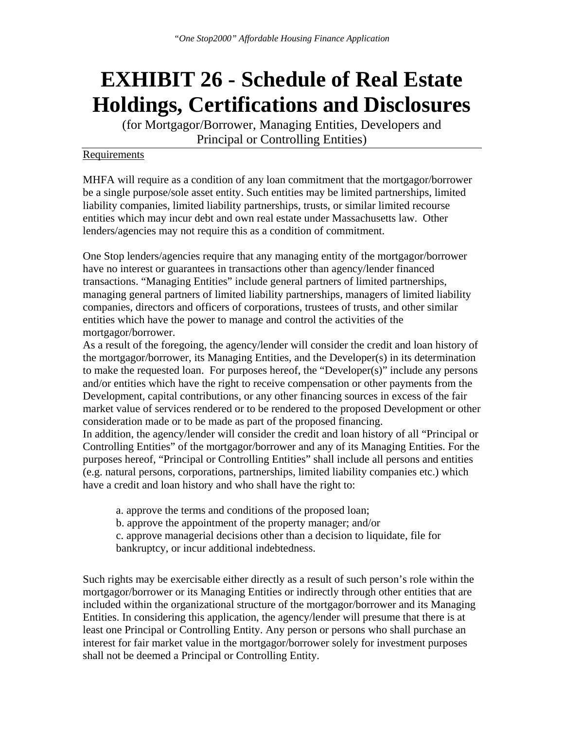## **EXHIBIT 26 - Schedule of Real Estate Holdings, Certifications and Disclosures**

(for Mortgagor/Borrower, Managing Entities, Developers and Principal or Controlling Entities)

#### Requirements

MHFA will require as a condition of any loan commitment that the mortgagor/borrower be a single purpose/sole asset entity. Such entities may be limited partnerships, limited liability companies, limited liability partnerships, trusts, or similar limited recourse entities which may incur debt and own real estate under Massachusetts law. Other lenders/agencies may not require this as a condition of commitment.

One Stop lenders/agencies require that any managing entity of the mortgagor/borrower have no interest or guarantees in transactions other than agency/lender financed transactions. "Managing Entities" include general partners of limited partnerships, managing general partners of limited liability partnerships, managers of limited liability companies, directors and officers of corporations, trustees of trusts, and other similar entities which have the power to manage and control the activities of the mortgagor/borrower.

As a result of the foregoing, the agency/lender will consider the credit and loan history of the mortgagor/borrower, its Managing Entities, and the Developer(s) in its determination to make the requested loan. For purposes hereof, the "Developer(s)" include any persons and/or entities which have the right to receive compensation or other payments from the Development, capital contributions, or any other financing sources in excess of the fair market value of services rendered or to be rendered to the proposed Development or other consideration made or to be made as part of the proposed financing.

In addition, the agency/lender will consider the credit and loan history of all "Principal or Controlling Entities" of the mortgagor/borrower and any of its Managing Entities. For the purposes hereof, "Principal or Controlling Entities" shall include all persons and entities (e.g. natural persons, corporations, partnerships, limited liability companies etc.) which have a credit and loan history and who shall have the right to:

- a. approve the terms and conditions of the proposed loan;
- b. approve the appointment of the property manager; and/or

 c. approve managerial decisions other than a decision to liquidate, file for bankruptcy, or incur additional indebtedness.

Such rights may be exercisable either directly as a result of such person's role within the mortgagor/borrower or its Managing Entities or indirectly through other entities that are included within the organizational structure of the mortgagor/borrower and its Managing Entities. In considering this application, the agency/lender will presume that there is at least one Principal or Controlling Entity. Any person or persons who shall purchase an interest for fair market value in the mortgagor/borrower solely for investment purposes shall not be deemed a Principal or Controlling Entity.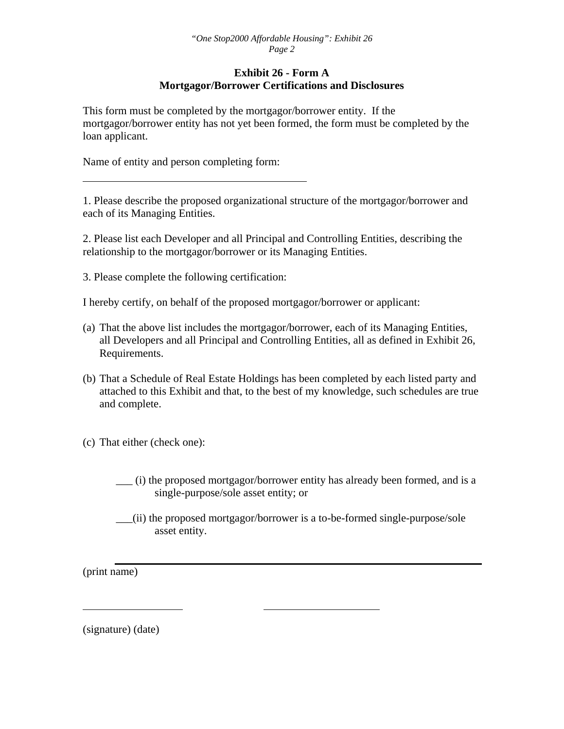#### **Exhibit 26 - Form A Mortgagor/Borrower Certifications and Disclosures**

This form must be completed by the mortgagor/borrower entity. If the mortgagor/borrower entity has not yet been formed, the form must be completed by the loan applicant.

Name of entity and person completing form:

1. Please describe the proposed organizational structure of the mortgagor/borrower and each of its Managing Entities.

2. Please list each Developer and all Principal and Controlling Entities, describing the relationship to the mortgagor/borrower or its Managing Entities.

3. Please complete the following certification:

I hereby certify, on behalf of the proposed mortgagor/borrower or applicant:

- (a) That the above list includes the mortgagor/borrower, each of its Managing Entities, all Developers and all Principal and Controlling Entities, all as defined in Exhibit 26, Requirements.
- (b) That a Schedule of Real Estate Holdings has been completed by each listed party and attached to this Exhibit and that, to the best of my knowledge, such schedules are true and complete.
- (c) That either (check one):
	- \_\_\_ (i) the proposed mortgagor/borrower entity has already been formed, and is a single-purpose/sole asset entity; or
	- \_\_\_(ii) the proposed mortgagor/borrower is a to-be-formed single-purpose/sole asset entity.

(print name)

(signature) (date)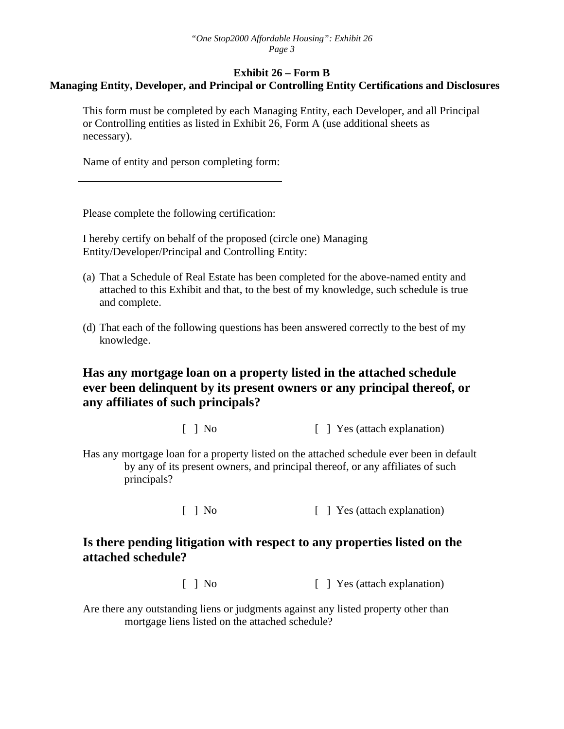#### **Exhibit 26 – Form B Managing Entity, Developer, and Principal or Controlling Entity Certifications and Disclosures**

This form must be completed by each Managing Entity, each Developer, and all Principal or Controlling entities as listed in Exhibit 26, Form A (use additional sheets as necessary).

Name of entity and person completing form:

Please complete the following certification:

I hereby certify on behalf of the proposed (circle one) Managing Entity/Developer/Principal and Controlling Entity:

- (a) That a Schedule of Real Estate has been completed for the above-named entity and attached to this Exhibit and that, to the best of my knowledge, such schedule is true and complete.
- (d) That each of the following questions has been answered correctly to the best of my knowledge.

### **Has any mortgage loan on a property listed in the attached schedule ever been delinquent by its present owners or any principal thereof, or any affiliates of such principals?**

[ ] No [ ] Yes (attach explanation)

Has any mortgage loan for a property listed on the attached schedule ever been in default by any of its present owners, and principal thereof, or any affiliates of such principals?

[ ] No [ ] Yes (attach explanation)

### **Is there pending litigation with respect to any properties listed on the attached schedule?**

[ ] No [ ] Yes (attach explanation)

Are there any outstanding liens or judgments against any listed property other than mortgage liens listed on the attached schedule?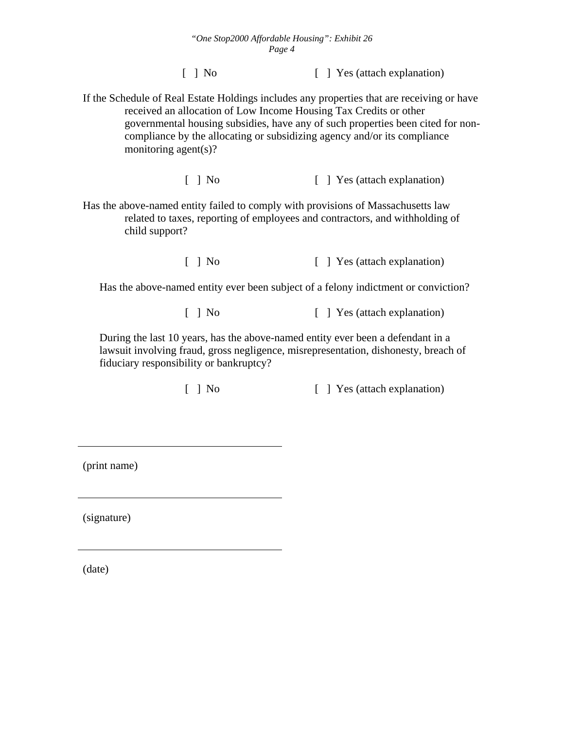#### *"One Stop2000 Affordable Housing": Exhibit 26 Page 4*

[ ] No [ ] Yes (attach explanation)

If the Schedule of Real Estate Holdings includes any properties that are receiving or have received an allocation of Low Income Housing Tax Credits or other governmental housing subsidies, have any of such properties been cited for noncompliance by the allocating or subsidizing agency and/or its compliance monitoring agent(s)?

[ ] No [ ] Yes (attach explanation)

Has the above-named entity failed to comply with provisions of Massachusetts law related to taxes, reporting of employees and contractors, and withholding of child support?

[ ] No [ ] Yes (attach explanation)

Has the above-named entity ever been subject of a felony indictment or conviction?

[ ] No [ ] Yes (attach explanation)

During the last 10 years, has the above-named entity ever been a defendant in a lawsuit involving fraud, gross negligence, misrepresentation, dishonesty, breach of fiduciary responsibility or bankruptcy?

[ ] No [ ] Yes (attach explanation)

(print name)

(signature)

(date)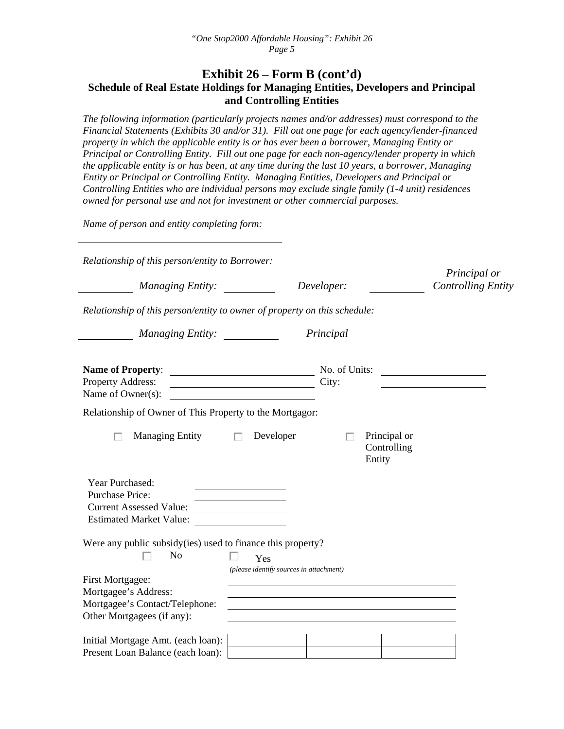#### **Exhibit 26 – Form B (cont'd) Schedule of Real Estate Holdings for Managing Entities, Developers and Principal and Controlling Entities**

*The following information (particularly projects names and/or addresses) must correspond to the Financial Statements (Exhibits 30 and/or 31). Fill out one page for each agency/lender-financed property in which the applicable entity is or has ever been a borrower, Managing Entity or Principal or Controlling Entity. Fill out one page for each non-agency/lender property in which the applicable entity is or has been, at any time during the last 10 years, a borrower, Managing Entity or Principal or Controlling Entity. Managing Entities, Developers and Principal or Controlling Entities who are individual persons may exclude single family (1-4 unit) residences owned for personal use and not for investment or other commercial purposes.* 

*Name of person and entity completing form:* 

| Relationship of this person/entity to Borrower:                                                        |                                                |                                       |  |
|--------------------------------------------------------------------------------------------------------|------------------------------------------------|---------------------------------------|--|
| <i>Managing Entity:</i>                                                                                | Principal or<br><b>Controlling Entity</b>      |                                       |  |
| Relationship of this person/entity to owner of property on this schedule:                              |                                                |                                       |  |
| Managing Entity: __________                                                                            |                                                | Principal                             |  |
| <b>Name of Property:</b><br>Property Address:<br>Name of Owner(s):                                     | <u> Andrew Maria (1989)</u>                    | No. of Units:<br>City:                |  |
| Relationship of Owner of This Property to the Mortgagor:                                               |                                                |                                       |  |
| <b>Managing Entity</b><br>п                                                                            | Developer<br>$\Box$                            | Principal or<br>Controlling<br>Entity |  |
| Year Purchased:<br><b>Purchase Price:</b><br><b>Current Assessed Value:</b><br>Estimated Market Value: |                                                |                                       |  |
| Were any public subsidy (ies) used to finance this property?<br>No<br>First Mortgagee:                 | Yes<br>(please identify sources in attachment) |                                       |  |
| Mortgagee's Address:<br>Mortgagee's Contact/Telephone:<br>Other Mortgagees (if any):                   |                                                |                                       |  |
| Initial Mortgage Amt. (each loan):<br>Present Loan Balance (each loan):                                |                                                |                                       |  |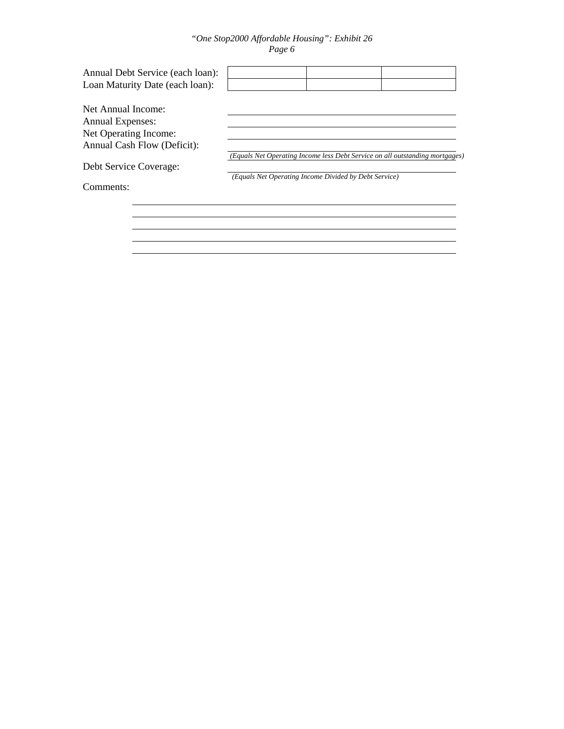#### *"One Stop2000 Affordable Housing": Exhibit 26 Page 6*

| Annual Debt Service (each loan):<br>Loan Maturity Date (each loan): |                                                       |                                                                              |
|---------------------------------------------------------------------|-------------------------------------------------------|------------------------------------------------------------------------------|
| Net Annual Income:                                                  |                                                       |                                                                              |
| Annual Expenses:                                                    |                                                       |                                                                              |
| Net Operating Income:                                               |                                                       |                                                                              |
| Annual Cash Flow (Deficit):                                         |                                                       |                                                                              |
|                                                                     |                                                       | (Equals Net Operating Income less Debt Service on all outstanding mortgages) |
| Debt Service Coverage:                                              |                                                       |                                                                              |
|                                                                     | (Equals Net Operating Income Divided by Debt Service) |                                                                              |
| Comments:                                                           |                                                       |                                                                              |
|                                                                     |                                                       |                                                                              |
|                                                                     |                                                       |                                                                              |
|                                                                     |                                                       |                                                                              |
|                                                                     |                                                       |                                                                              |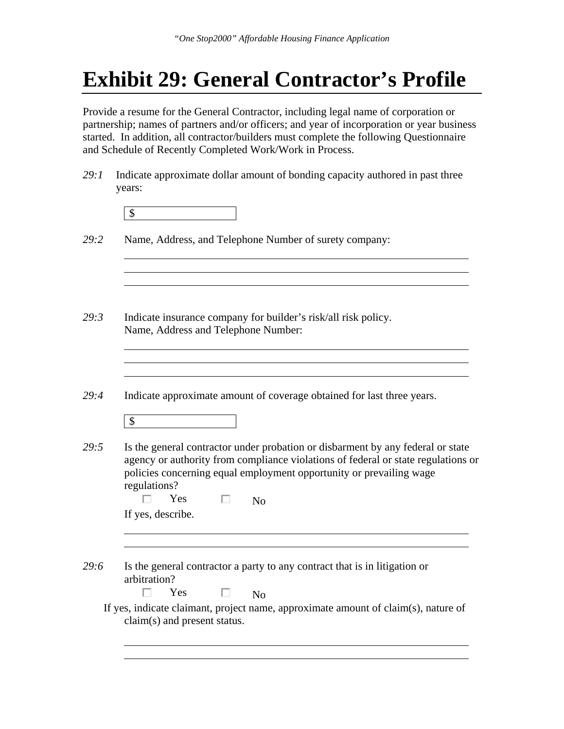## **Exhibit 29: General Contractor's Profile**

Provide a resume for the General Contractor, including legal name of corporation or partnership; names of partners and/or officers; and year of incorporation or year business started. In addition, all contractor/builders must complete the following Questionnaire and Schedule of Recently Completed Work/Work in Process.

*29:1* Indicate approximate dollar amount of bonding capacity authored in past three years:

|--|

*29:2* Name, Address, and Telephone Number of surety company:

- *29:3* Indicate insurance company for builder's risk/all risk policy. Name, Address and Telephone Number:
- *29:4* Indicate approximate amount of coverage obtained for last three years.

\$

*29:5* Is the general contractor under probation or disbarment by any federal or state agency or authority from compliance violations of federal or state regulations or policies concerning equal employment opportunity or prevailing wage regulations?

| No |
|----|
|    |

 $\Box$ 

*29:6* Is the general contractor a party to any contract that is in litigation or arbitration?

Yes  $\Box$  No

 If yes, indicate claimant, project name, approximate amount of claim(s), nature of claim(s) and present status.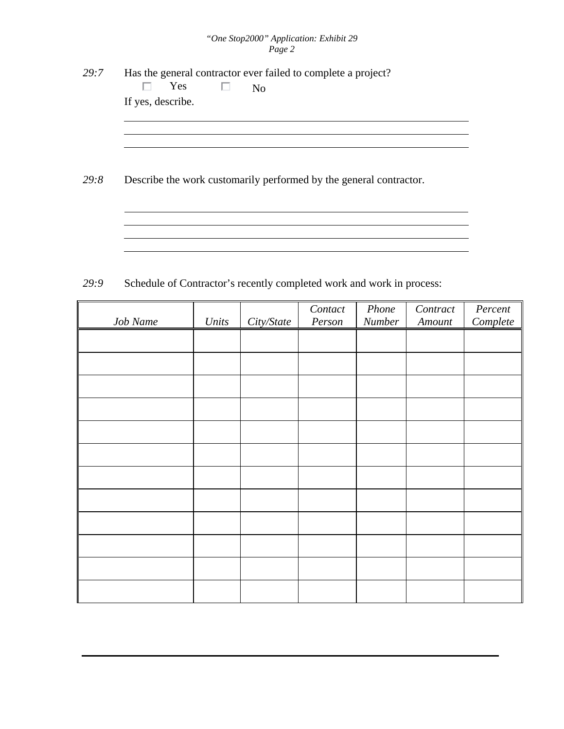#### *"One Stop2000" Application: Exhibit 29 Page 2*

- *29:7* Has the general contractor ever failed to complete a project?  $\Box$ Yes  $\Box$  No If yes, describe.
- *29:8* Describe the work customarily performed by the general contractor.

29:9 Schedule of Contractor's recently completed work and work in process:

|          |       |            | Contact | Phone  | Contract | Percent  |
|----------|-------|------------|---------|--------|----------|----------|
| Job Name | Units | City/State | Person  | Number | Amount   | Complete |
|          |       |            |         |        |          |          |
|          |       |            |         |        |          |          |
|          |       |            |         |        |          |          |
|          |       |            |         |        |          |          |
|          |       |            |         |        |          |          |
|          |       |            |         |        |          |          |
|          |       |            |         |        |          |          |
|          |       |            |         |        |          |          |
|          |       |            |         |        |          |          |
|          |       |            |         |        |          |          |
|          |       |            |         |        |          |          |
|          |       |            |         |        |          |          |
|          |       |            |         |        |          |          |
|          |       |            |         |        |          |          |
|          |       |            |         |        |          |          |
|          |       |            |         |        |          |          |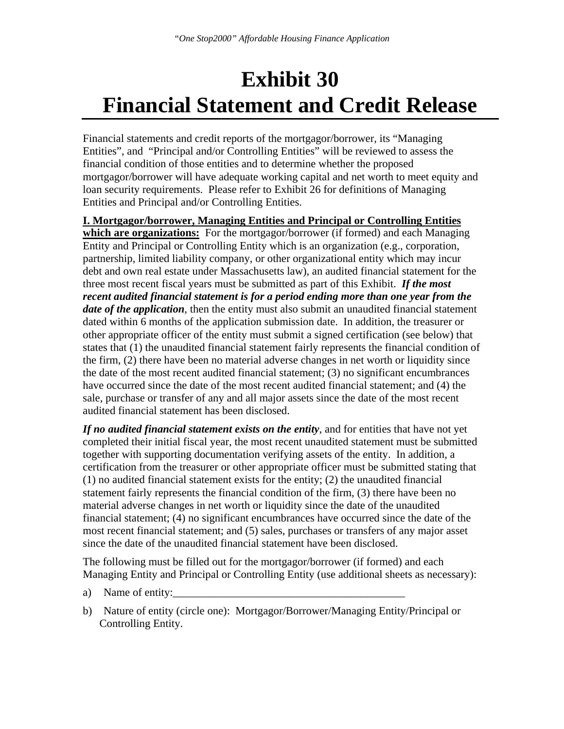## **Exhibit 30 Financial Statement and Credit Release**

Financial statements and credit reports of the mortgagor/borrower, its "Managing Entities", and "Principal and/or Controlling Entities" will be reviewed to assess the financial condition of those entities and to determine whether the proposed mortgagor/borrower will have adequate working capital and net worth to meet equity and loan security requirements. Please refer to Exhibit 26 for definitions of Managing Entities and Principal and/or Controlling Entities.

**I. Mortgagor/borrower, Managing Entities and Principal or Controlling Entities which are organizations:** For the mortgagor/borrower (if formed) and each Managing Entity and Principal or Controlling Entity which is an organization (e.g., corporation, partnership, limited liability company, or other organizational entity which may incur debt and own real estate under Massachusetts law), an audited financial statement for the three most recent fiscal years must be submitted as part of this Exhibit. *If the most recent audited financial statement is for a period ending more than one year from the date of the application*, then the entity must also submit an unaudited financial statement dated within 6 months of the application submission date. In addition, the treasurer or other appropriate officer of the entity must submit a signed certification (see below) that states that (1) the unaudited financial statement fairly represents the financial condition of the firm, (2) there have been no material adverse changes in net worth or liquidity since the date of the most recent audited financial statement; (3) no significant encumbrances have occurred since the date of the most recent audited financial statement; and (4) the sale, purchase or transfer of any and all major assets since the date of the most recent audited financial statement has been disclosed.

*If no audited financial statement exists on the entity*, and for entities that have not yet completed their initial fiscal year, the most recent unaudited statement must be submitted together with supporting documentation verifying assets of the entity. In addition, a certification from the treasurer or other appropriate officer must be submitted stating that (1) no audited financial statement exists for the entity; (2) the unaudited financial statement fairly represents the financial condition of the firm, (3) there have been no material adverse changes in net worth or liquidity since the date of the unaudited financial statement; (4) no significant encumbrances have occurred since the date of the most recent financial statement; and (5) sales, purchases or transfers of any major asset since the date of the unaudited financial statement have been disclosed.

The following must be filled out for the mortgagor/borrower (if formed) and each Managing Entity and Principal or Controlling Entity (use additional sheets as necessary):

- a) Name of entity:
- b) Nature of entity (circle one): Mortgagor/Borrower/Managing Entity/Principal or Controlling Entity.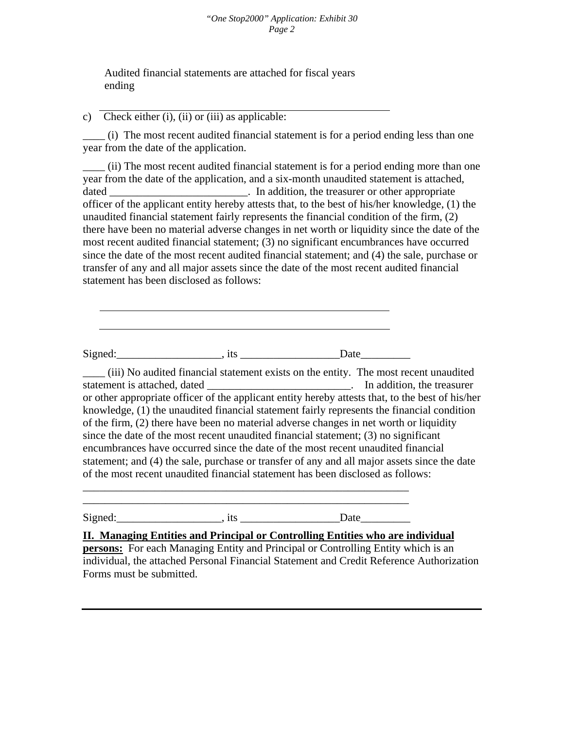#### *"One Stop2000" Application: Exhibit 30 Page 2*

Audited financial statements are attached for fiscal years ending

c) Check either (i), (ii) or (iii) as applicable:

\_\_\_\_ (i) The most recent audited financial statement is for a period ending less than one year from the date of the application.

\_\_\_\_ (ii) The most recent audited financial statement is for a period ending more than one year from the date of the application, and a six-month unaudited statement is attached, dated \_\_\_\_\_\_\_\_\_\_\_\_\_\_\_\_\_\_\_\_\_\_\_\_\_\_. In addition, the treasurer or other appropriate officer of the applicant entity hereby attests that, to the best of his/her knowledge, (1) the unaudited financial statement fairly represents the financial condition of the firm, (2) there have been no material adverse changes in net worth or liquidity since the date of the most recent audited financial statement; (3) no significant encumbrances have occurred since the date of the most recent audited financial statement; and (4) the sale, purchase or transfer of any and all major assets since the date of the most recent audited financial statement has been disclosed as follows:

Signed:\_\_\_\_\_\_\_\_\_\_\_\_\_\_\_\_\_\_\_, its \_\_\_\_\_\_\_\_\_\_\_\_\_\_\_\_\_\_Date\_\_\_\_\_\_\_\_\_

\_\_\_\_\_\_\_\_\_\_\_\_\_\_\_\_\_\_\_\_\_\_\_\_\_\_\_\_\_\_\_\_\_\_\_\_\_\_\_\_\_\_\_\_\_\_\_\_\_\_\_\_\_\_\_\_\_\_\_ \_\_\_\_\_\_\_\_\_\_\_\_\_\_\_\_\_\_\_\_\_\_\_\_\_\_\_\_\_\_\_\_\_\_\_\_\_\_\_\_\_\_\_\_\_\_\_\_\_\_\_\_\_\_\_\_\_\_\_

\_\_\_\_ (iii) No audited financial statement exists on the entity. The most recent unaudited statement is attached, dated **a statement** is attached, dated **a** statement is attached, dated **a** statement is attached. or other appropriate officer of the applicant entity hereby attests that, to the best of his/her knowledge, (1) the unaudited financial statement fairly represents the financial condition of the firm, (2) there have been no material adverse changes in net worth or liquidity since the date of the most recent unaudited financial statement; (3) no significant encumbrances have occurred since the date of the most recent unaudited financial statement; and (4) the sale, purchase or transfer of any and all major assets since the date of the most recent unaudited financial statement has been disclosed as follows:

Signed: Signed: Signed: Signed: Signed: Signed: Signed: Signed: Signed: Signed: Signed: Signed: Signed: Signed: Signed: Signed: Signed: Signed: Signed: Signed: Signed: Signed: Signed: Signed: Signed: Signed: Signed: Signed

**II. Managing Entities and Principal or Controlling Entities who are individual** 

**persons:** For each Managing Entity and Principal or Controlling Entity which is an individual, the attached Personal Financial Statement and Credit Reference Authorization Forms must be submitted.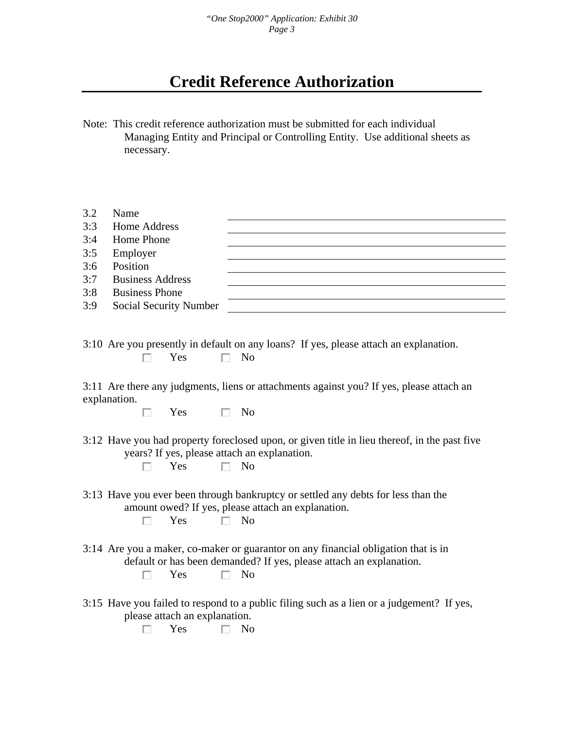*"One Stop2000" Application: Exhibit 30 Page 3* 

### **Credit Reference Authorization**

Note: This credit reference authorization must be submitted for each individual Managing Entity and Principal or Controlling Entity. Use additional sheets as necessary.

| 3.2 | Name                    |                                                                                                         |
|-----|-------------------------|---------------------------------------------------------------------------------------------------------|
| 3:3 | <b>Home Address</b>     |                                                                                                         |
| 3:4 | Home Phone              |                                                                                                         |
| 3:5 | Employer                |                                                                                                         |
| 3:6 | Position                |                                                                                                         |
| 3:7 | <b>Business Address</b> |                                                                                                         |
| 3:8 | <b>Business Phone</b>   |                                                                                                         |
| 3:9 | Social Security Number  |                                                                                                         |
|     | Yes                     | 3:10 Are you presently in default on any loans? If yes, please attach an explanation.<br>N <sub>0</sub> |
|     | explanation.            | 3:11 Are there any judgments, liens or attachments against you? If yes, please attach an                |

 $\Box$  $Yes \square No$ 

- 3:12 Have you had property foreclosed upon, or given title in lieu thereof, in the past five years? If yes, please attach an explanation.  $\Box$ 
	- Yes  $\Box$  No
- 3:13 Have you ever been through bankruptcy or settled any debts for less than the amount owed? If yes, please attach an explanation.

 $Yes \qquad \Box \qquad No$ П.

- 3:14 Are you a maker, co-maker or guarantor on any financial obligation that is in default or has been demanded? If yes, please attach an explanation.  $Yes \qquad \Box \qquad No$ П
- 3:15 Have you failed to respond to a public filing such as a lien or a judgement? If yes, please attach an explanation.
	- $\Box$  Yes  $\Box$  No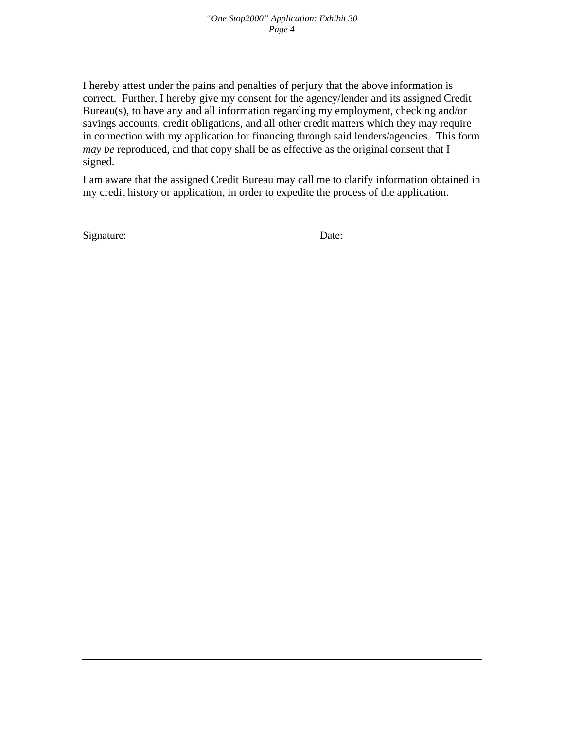I hereby attest under the pains and penalties of perjury that the above information is correct. Further, I hereby give my consent for the agency/lender and its assigned Credit Bureau(s), to have any and all information regarding my employment, checking and/or savings accounts, credit obligations, and all other credit matters which they may require in connection with my application for financing through said lenders/agencies. This form *may be* reproduced, and that copy shall be as effective as the original consent that I signed.

I am aware that the assigned Credit Bureau may call me to clarify information obtained in my credit history or application, in order to expedite the process of the application.

| Signature:<br>Date: |
|---------------------|
|---------------------|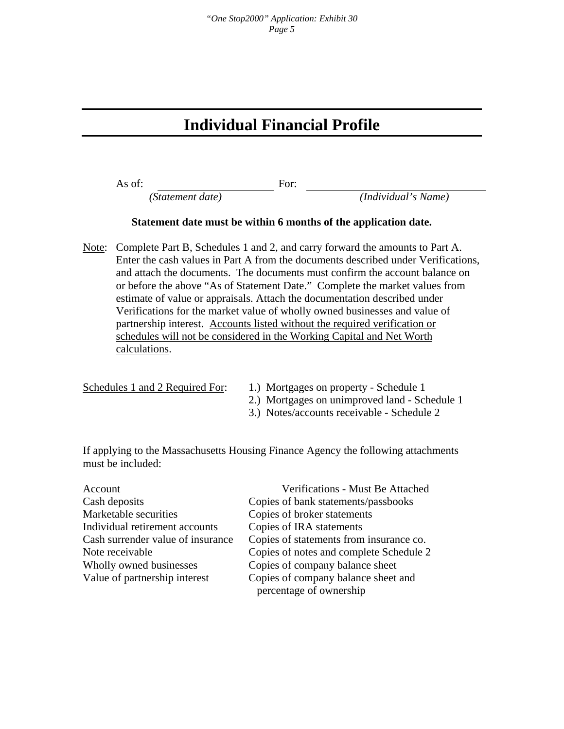### **Individual Financial Profile**

As of: For:

 *(Statement date) (Individual's Name)* 

#### **Statement date must be within 6 months of the application date.**

Note: Complete Part B, Schedules 1 and 2, and carry forward the amounts to Part A. Enter the cash values in Part A from the documents described under Verifications, and attach the documents. The documents must confirm the account balance on or before the above "As of Statement Date." Complete the market values from estimate of value or appraisals. Attach the documentation described under Verifications for the market value of wholly owned businesses and value of partnership interest. Accounts listed without the required verification or schedules will not be considered in the Working Capital and Net Worth calculations.

- Schedules 1 and 2 Required For: 1.) Mortgages on property Schedule 1
	- 2.) Mortgages on unimproved land Schedule 1
	- 3.) Notes/accounts receivable Schedule 2

If applying to the Massachusetts Housing Finance Agency the following attachments must be included:

| Account                           | Verifications - Must Be Attached        |
|-----------------------------------|-----------------------------------------|
| Cash deposits                     | Copies of bank statements/passbooks     |
| Marketable securities             | Copies of broker statements             |
| Individual retirement accounts    | Copies of IRA statements                |
| Cash surrender value of insurance | Copies of statements from insurance co. |
| Note receivable                   | Copies of notes and complete Schedule 2 |
| Wholly owned businesses           | Copies of company balance sheet         |
| Value of partnership interest     | Copies of company balance sheet and     |
|                                   | percentage of ownership                 |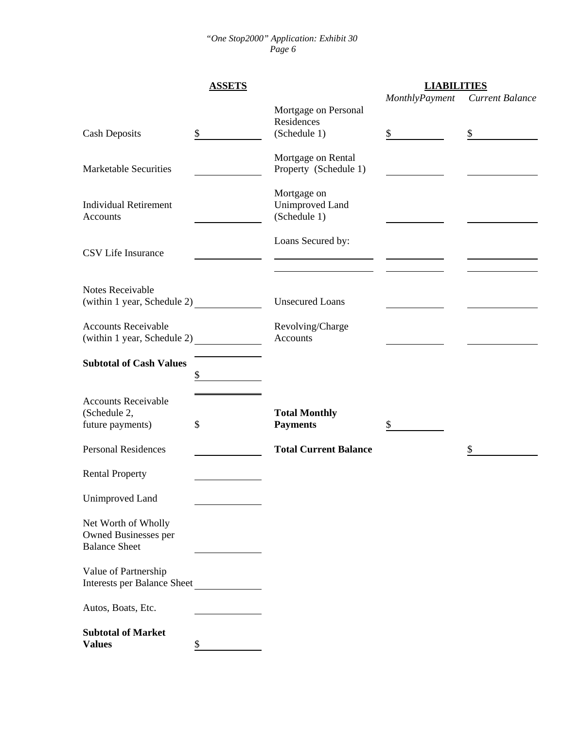#### *"One Stop2000" Application: Exhibit 30 Page 6*

|                                                                     | <b>ASSETS</b> |                                                | <b>LIABILITIES</b> |                 |
|---------------------------------------------------------------------|---------------|------------------------------------------------|--------------------|-----------------|
|                                                                     |               | Mortgage on Personal<br>Residences             | MonthlyPayment     | Current Balance |
| <b>Cash Deposits</b>                                                | \$            | (Schedule 1)                                   | \$                 | \$              |
| <b>Marketable Securities</b>                                        |               | Mortgage on Rental<br>Property (Schedule 1)    |                    |                 |
| <b>Individual Retirement</b><br>Accounts                            |               | Mortgage on<br>Unimproved Land<br>(Schedule 1) |                    |                 |
| CSV Life Insurance                                                  |               | Loans Secured by:                              |                    |                 |
| Notes Receivable<br>(within 1 year, Schedule 2)                     |               | <b>Unsecured Loans</b>                         |                    |                 |
| <b>Accounts Receivable</b><br>(within 1 year, Schedule 2)           |               | Revolving/Charge<br>Accounts                   |                    |                 |
| <b>Subtotal of Cash Values</b>                                      | \$            |                                                |                    |                 |
| <b>Accounts Receivable</b><br>(Schedule 2,<br>future payments)      | \$            | <b>Total Monthly</b><br><b>Payments</b>        | \$                 |                 |
| <b>Personal Residences</b>                                          |               | <b>Total Current Balance</b>                   |                    | \$              |
| <b>Rental Property</b>                                              |               |                                                |                    |                 |
| Unimproved Land                                                     |               |                                                |                    |                 |
| Net Worth of Wholly<br>Owned Businesses per<br><b>Balance Sheet</b> |               |                                                |                    |                 |
| Value of Partnership<br><b>Interests per Balance Sheet</b>          |               |                                                |                    |                 |
| Autos, Boats, Etc.                                                  |               |                                                |                    |                 |
| <b>Subtotal of Market</b><br><b>Values</b>                          | \$            |                                                |                    |                 |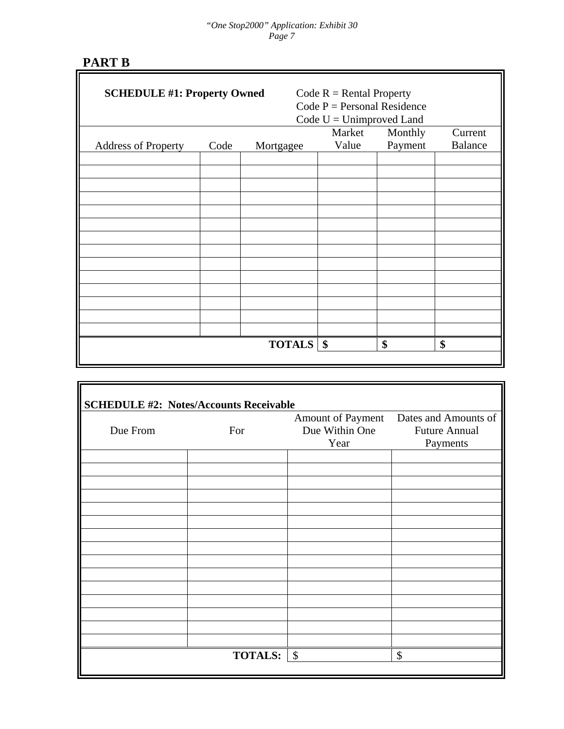# **PART B**

| <b>SCHEDULE #1: Property Owned</b> |      |               | Code $R =$ Rental Property<br>Code $P =$ Personal Residence<br>Code $U =$ Unimproved Land |         |                |
|------------------------------------|------|---------------|-------------------------------------------------------------------------------------------|---------|----------------|
|                                    |      |               | Market                                                                                    | Monthly | Current        |
| <b>Address of Property</b>         | Code | Mortgagee     | Value                                                                                     | Payment | <b>Balance</b> |
|                                    |      |               |                                                                                           |         |                |
|                                    |      |               |                                                                                           |         |                |
|                                    |      |               |                                                                                           |         |                |
|                                    |      |               |                                                                                           |         |                |
|                                    |      |               |                                                                                           |         |                |
|                                    |      |               |                                                                                           |         |                |
|                                    |      |               |                                                                                           |         |                |
|                                    |      |               |                                                                                           |         |                |
|                                    |      |               |                                                                                           |         |                |
|                                    |      |               |                                                                                           |         |                |
|                                    |      |               |                                                                                           |         |                |
|                                    |      |               |                                                                                           |         |                |
|                                    |      | <b>TOTALS</b> | $\sqrt{3}$                                                                                | \$      | \$             |
|                                    |      |               |                                                                                           |         |                |

|          |                |                | Amount of Payment Dates and Amounts of |
|----------|----------------|----------------|----------------------------------------|
| Due From | For            | Due Within One | <b>Future Annual</b>                   |
|          |                | Year           | Payments                               |
|          |                |                |                                        |
|          |                |                |                                        |
|          |                |                |                                        |
|          |                |                |                                        |
|          |                |                |                                        |
|          |                |                |                                        |
|          |                |                |                                        |
|          |                |                |                                        |
|          |                |                |                                        |
|          |                |                |                                        |
|          |                |                |                                        |
|          |                |                |                                        |
|          |                |                |                                        |
|          |                |                |                                        |
|          |                |                |                                        |
|          | <b>TOTALS:</b> | \$             | \$                                     |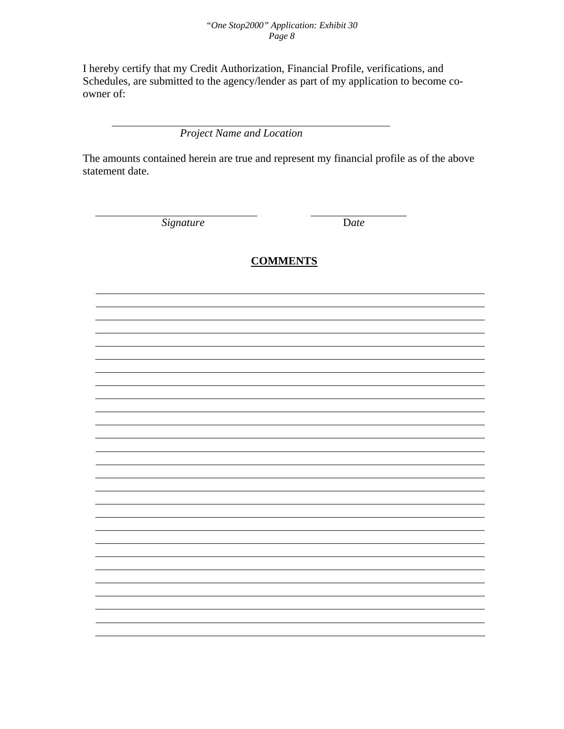#### *"One Stop2000" Application: Exhibit 30 Page 8*

I hereby certify that my Credit Authorization, Financial Profile, verifications, and Schedules, are submitted to the agency/lender as part of my application to become coowner of:

 *Project Name and Location* 

The amounts contained herein are true and represent my financial profile as of the above statement date.

*Signature* D*ate* 

#### **COMMENTS**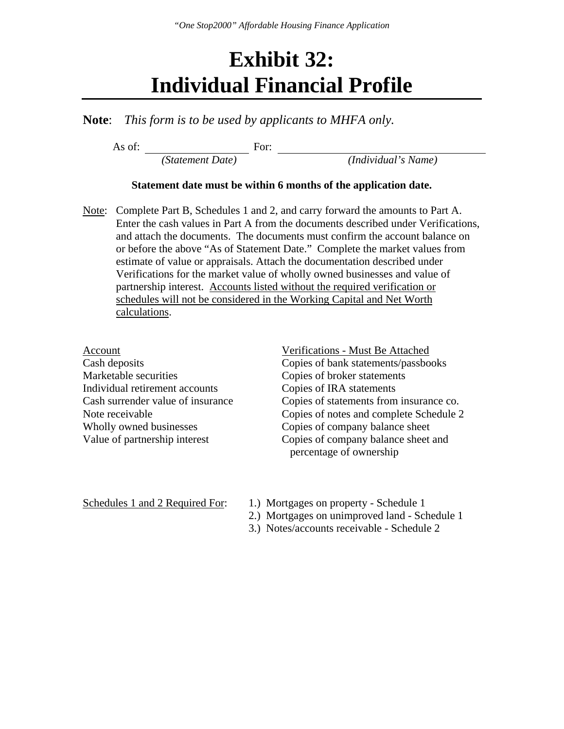## **Exhibit 32: Individual Financial Profile**

**Note**: *This form is to be used by applicants to MHFA only.*

As of: For:  *(Statement Date) (Individual's Name)* 

#### **Statement date must be within 6 months of the application date.**

Note: Complete Part B, Schedules 1 and 2, and carry forward the amounts to Part A. Enter the cash values in Part A from the documents described under Verifications, and attach the documents. The documents must confirm the account balance on or before the above "As of Statement Date." Complete the market values from estimate of value or appraisals. Attach the documentation described under Verifications for the market value of wholly owned businesses and value of partnership interest. Accounts listed without the required verification or schedules will not be considered in the Working Capital and Net Worth calculations.

| Account                           | Verifications - Must Be Attached        |
|-----------------------------------|-----------------------------------------|
| Cash deposits                     | Copies of bank statements/passbooks     |
| Marketable securities             | Copies of broker statements             |
| Individual retirement accounts    | Copies of IRA statements                |
| Cash surrender value of insurance | Copies of statements from insurance co. |
| Note receivable                   | Copies of notes and complete Schedule 2 |
| Wholly owned businesses           | Copies of company balance sheet         |
| Value of partnership interest     | Copies of company balance sheet and     |
|                                   | percentage of ownership                 |

- Schedules 1 and 2 Required For: 1.) Mortgages on property Schedule 1
	- 2.) Mortgages on unimproved land Schedule 1
	- 3.) Notes/accounts receivable Schedule 2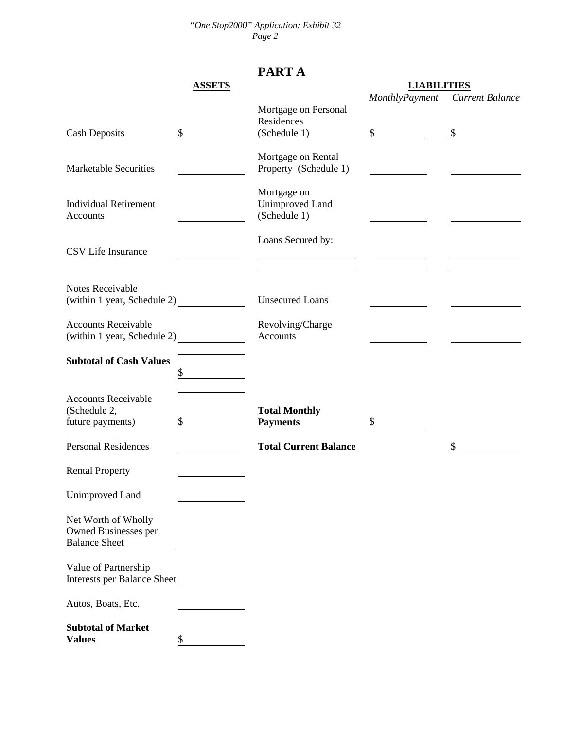*"One Stop2000" Application: Exhibit 32 Page 2* 

### **PART A**

|                                    | <b>ASSETS</b> |                              | <b>LIABILITIES</b> |                 |
|------------------------------------|---------------|------------------------------|--------------------|-----------------|
|                                    |               |                              | MonthlyPayment     | Current Balance |
|                                    |               | Mortgage on Personal         |                    |                 |
|                                    |               | Residences                   |                    |                 |
| <b>Cash Deposits</b>               | \$            | (Schedule 1)                 | \$                 | \$              |
|                                    |               |                              |                    |                 |
|                                    |               | Mortgage on Rental           |                    |                 |
| <b>Marketable Securities</b>       |               | Property (Schedule 1)        |                    |                 |
|                                    |               |                              |                    |                 |
|                                    |               | Mortgage on                  |                    |                 |
| <b>Individual Retirement</b>       |               | Unimproved Land              |                    |                 |
| Accounts                           |               | (Schedule 1)                 |                    |                 |
|                                    |               |                              |                    |                 |
|                                    |               | Loans Secured by:            |                    |                 |
| CSV Life Insurance                 |               |                              |                    |                 |
|                                    |               |                              |                    |                 |
|                                    |               |                              |                    |                 |
| Notes Receivable                   |               |                              |                    |                 |
|                                    |               | <b>Unsecured Loans</b>       |                    |                 |
|                                    |               |                              |                    |                 |
| <b>Accounts Receivable</b>         |               | Revolving/Charge             |                    |                 |
| (within 1 year, Schedule 2)        |               | Accounts                     |                    |                 |
|                                    |               |                              |                    |                 |
| <b>Subtotal of Cash Values</b>     |               |                              |                    |                 |
|                                    | \$            |                              |                    |                 |
|                                    |               |                              |                    |                 |
| <b>Accounts Receivable</b>         |               |                              |                    |                 |
| (Schedule 2,                       |               | <b>Total Monthly</b>         |                    |                 |
| future payments)                   | \$            | <b>Payments</b>              | \$                 |                 |
|                                    |               |                              |                    |                 |
| <b>Personal Residences</b>         |               | <b>Total Current Balance</b> |                    | \$              |
|                                    |               |                              |                    |                 |
| <b>Rental Property</b>             |               |                              |                    |                 |
|                                    |               |                              |                    |                 |
| Unimproved Land                    |               |                              |                    |                 |
|                                    |               |                              |                    |                 |
| Net Worth of Wholly                |               |                              |                    |                 |
| Owned Businesses per               |               |                              |                    |                 |
| <b>Balance Sheet</b>               |               |                              |                    |                 |
|                                    |               |                              |                    |                 |
| Value of Partnership               |               |                              |                    |                 |
| <b>Interests per Balance Sheet</b> |               |                              |                    |                 |
|                                    |               |                              |                    |                 |
| Autos, Boats, Etc.                 |               |                              |                    |                 |
| <b>Subtotal of Market</b>          |               |                              |                    |                 |
| <b>Values</b>                      | \$            |                              |                    |                 |
|                                    |               |                              |                    |                 |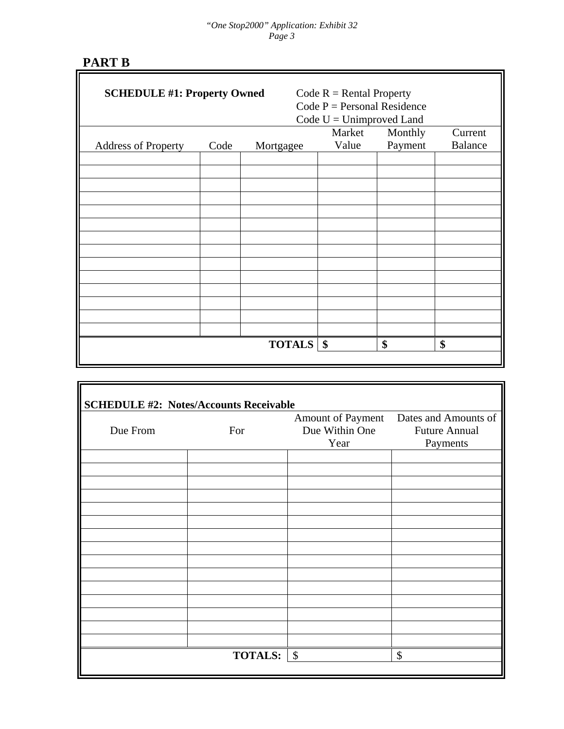#### *"One Stop2000" Application: Exhibit 32 Page 3*

# **PART B**

| <b>SCHEDULE #1: Property Owned</b> |      |                    | Code $R =$ Rental Property<br>Code $P =$ Personal Residence<br>Code $U =$ Unimproved Land |         |                |
|------------------------------------|------|--------------------|-------------------------------------------------------------------------------------------|---------|----------------|
|                                    |      |                    | Market<br>Value                                                                           | Monthly | Current        |
| <b>Address of Property</b>         | Code | Mortgagee          |                                                                                           | Payment | <b>Balance</b> |
|                                    |      |                    |                                                                                           |         |                |
|                                    |      |                    |                                                                                           |         |                |
|                                    |      |                    |                                                                                           |         |                |
|                                    |      |                    |                                                                                           |         |                |
|                                    |      |                    |                                                                                           |         |                |
|                                    |      |                    |                                                                                           |         |                |
|                                    |      |                    |                                                                                           |         |                |
|                                    |      |                    |                                                                                           |         |                |
|                                    |      |                    |                                                                                           |         |                |
|                                    |      |                    |                                                                                           |         |                |
|                                    |      |                    |                                                                                           |         |                |
|                                    |      |                    |                                                                                           |         |                |
|                                    |      | <b>TOTALS</b>   \$ |                                                                                           | \$      | \$             |
|                                    |      |                    |                                                                                           |         |                |

|          |                | Amount of Payment Dates and Amounts of |                      |
|----------|----------------|----------------------------------------|----------------------|
| Due From | For            | Due Within One                         | <b>Future Annual</b> |
|          |                | Year                                   | Payments             |
|          |                |                                        |                      |
|          |                |                                        |                      |
|          |                |                                        |                      |
|          |                |                                        |                      |
|          |                |                                        |                      |
|          |                |                                        |                      |
|          |                |                                        |                      |
|          |                |                                        |                      |
|          |                |                                        |                      |
|          |                |                                        |                      |
|          |                |                                        |                      |
|          |                |                                        |                      |
|          |                |                                        |                      |
|          |                |                                        |                      |
|          |                |                                        |                      |
|          | <b>TOTALS:</b> | $\boldsymbol{\mathsf{S}}$              | \$                   |